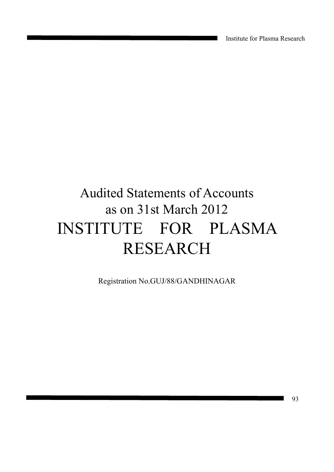Institute for Plasma Research

# Audited Statements of Accounts as on 31st March 2012 INSTITUTE FOR PLASMA RESEARCH

Registration No.GUJ/88/GANDHINAGAR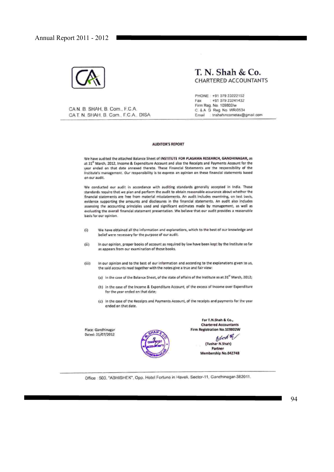

# $T. N. Shah & Co.$ **CHARTERED ACCOUNTANTS**

PHONE: +91 079 23222152 Fax : +91 079 23241432 Firm Reg. No. 109802/w C. & A G Reg. No. WR/0534 Email : tnshahincometax@gmail.com

CAN. B. SHAH, B. Com., F.C.A. CAT. N. SHAH, B. Com., F.C.A., DISA

### AUDITOR'S REPORT

We have audited the attached Balance Sheet of INSTITUTE FOR PLASAMA RESEARCH, GANDHINAGAR, as at 31" March, 2012, Income & Expenditure Account and also the Receipts and Payments Account for the year ended on that date annexed thereto. These Financial Statements are the responsibility of the Institute's management. Our responsibility is to express an opinion on these financial statements based on our audit.

We conducted our audit in accordance with auditing standards generally accepted in India. Those standards require that we plan and perform the audit to obtain reasonable assurance about whether the financial statements are free from material misstatements. An audit includes examining, on test basis, evidence supporting the amounts and disclosures in the financial statements. An audit also includes assessing the accounting principles used and significant estimates made by management, as well as evaluating the overall financial statement presentation. We believe that our audit provides a reasonable basis for our opinion.

- We have obtained all the information and explanations, which to the best of our knowledge and  $(i)$ belief were necessary for the purpose of our audit.
- In our opinion, proper books of account as required by law have been kept by the Institute so far (ii) as appears from our examination of those books.
- In our opinion and to the best of our information and according to the explanations given to us, (iii) the said accounts read together with the notes give a true and fair view:
	- (a) in the case of the Balance Sheet, of the state of affairs of the Institute as at 31<sup>th</sup> March, 2012;
	- (b) in the case of the Income & Expenditure Account, of the excess of Income over Expenditure for the year ended on that date;
	- (c) in the case of the Receipts and Payments Account, of the receipts and payments for the year ended on that date.

Place: Gandhinagar Dated: 31/07/2012



For T.N.Shah & Co., **Chartered Accountants** Firm Registration No.109802W

**Stoht** (Tushar N.Shah) Partner Membership No.042748

Office : 503, "ABHISHEK", Opp. Hotel Fortune in Haveli, Sector-11, Gandhinagar-382011.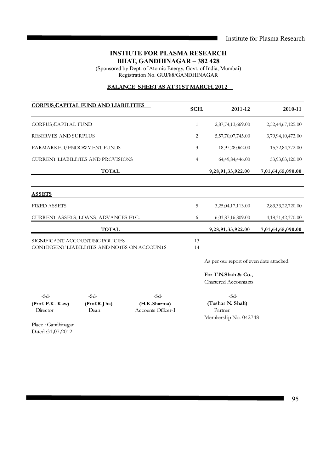# **INSTIUTE FOR PLASMA RESEARCH BHAT, GANDHINAGAR – 382 428**

(Sponsored by Dept. of Atomic Energy, Govt. of India, Mumbai) Registration No. GUJ/88/GANDHINAGAR

# **BALANCE SHEET AS AT 31ST MARCH, 2012**

|                                                                                 | <b>CORPUS CAPITAL FUND AND LIABILITIES</b> |                        | SCH.           | 2011-12                                             | 2010-11               |
|---------------------------------------------------------------------------------|--------------------------------------------|------------------------|----------------|-----------------------------------------------------|-----------------------|
| CORPUS CAPITAL FUND                                                             |                                            |                        | $\mathbf{1}$   | 2,87,74,13,669.00                                   | 2,52,44,67,125.00     |
| RESERVES AND SURPLUS                                                            |                                            |                        | 2              | 5,57,70,07,745.00                                   | 3,79,94,10,473.00     |
| EARMARKED/ENDOWMENT FUNDS                                                       |                                            |                        | 3              | 18,97,28,062.00                                     | 15,32,84,372.00       |
|                                                                                 | <b>CURRENT LIABILITIES AND PROVISIONS</b>  |                        | $\overline{4}$ | 64,49,84,446.00                                     | 53,93,03,120.00       |
|                                                                                 | <b>TOTAL</b>                               |                        |                | 9,28,91,33,922.00                                   | 7,01,64,65,090.00     |
| <b>ASSETS</b>                                                                   |                                            |                        |                |                                                     |                       |
| <b>FIXED ASSETS</b>                                                             |                                            |                        | 5              | 3,25,04,17,113.00                                   | 2,83,33,22,720.00     |
|                                                                                 | CURRENT ASSETS, LOANS, ADVANCES ETC.       |                        | 6              | 6,03,87,16,809.00                                   | 4, 18, 31, 42, 370.00 |
|                                                                                 | <b>TOTAL</b>                               |                        |                | 9,28,91,33,922.00                                   | 7,01,64,65,090.00     |
| SIGNIFICANT ACCOUNTING POLICIES<br>CONTINGENT LIABILITIES AND NOTES ON ACCOUNTS |                                            |                        |                |                                                     |                       |
|                                                                                 |                                            |                        |                | As per our report of even date attached.            |                       |
|                                                                                 |                                            |                        |                | For T.N.Shah & Co.,<br><b>Chartered Accountants</b> |                       |
| $-Sd-$<br>(Prof. P.K. Kaw)                                                      | $-Sd-$                                     | $-Sd-$<br>(H.K.Sharma) |                | $-Sd$ -<br>(Tushar N. Shah)                         |                       |
| Director                                                                        | (Prof.R.J ha)<br>Dean                      | Accounts Officer-I     |                | Partner<br>Membership No. 042748                    |                       |
| Place: Gandhinagar                                                              |                                            |                        |                |                                                     |                       |

Dated :31/07/2012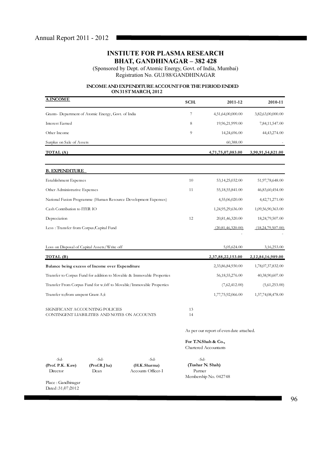(Sponsored by Dept. of Atomic Energy, Govt. of India, Mumbai) Registration No. GUJ/88/GANDHINAGAR

# **INCOME AND EXPENDITURE ACCOUNT FOR THE PERIOD ENDED ON 31ST MARCH, 2012**

| <b>A.INCOME</b>                                                                 | SCH.     | 2011-12            | 2010-11           |
|---------------------------------------------------------------------------------|----------|--------------------|-------------------|
| Grants- Department of Atomic Energy, Govt. of India                             | 7        | 4,51,64,00,000.00  | 3,82,63,00,000.00 |
| Interest Earned                                                                 | 8        | 19,96,21,999.00    | 7,84,11,547.00    |
| Other Income                                                                    | 9        | 14,24,696.00       | 44,43,274.00      |
| Surplus on Sale of Assets                                                       |          | 60,388.00          |                   |
| TOTAL (A)                                                                       |          | 4,71,75,07,083.00  | 3,90,91,54,821.00 |
| <b>B. EXPENDITURE</b>                                                           |          |                    |                   |
| Establishment Expenses                                                          | 10       | 53,14,25,032.00    | 51,97,78,648.00   |
| Other Administrative Expenses                                                   | 11       | 55, 18, 55, 841.00 | 46,83,60,454.00   |
| National Fusion Programme (Human Resource Development Expenses)                 |          | 4,55,06,020.00     | 4, 42, 71, 271.00 |
| Cash Contribution to ITER IO                                                    |          | 1,24,95,29,636.00  | 1,09,56,90,363.00 |
| Depreciation                                                                    | 12       | 20,81,46,320.00    | 18,24,79,507.00   |
| Less: Transfer from Corpus/Capital Fund                                         |          | (20,81,46,320.00)  | (18,24,79,507.00) |
| Loss on Disposal of Capital Assets/Write off                                    |          | 5,05,624.00        | 3,16,253.00       |
| TOTAL (B)                                                                       |          | 2,37,88,22,153.00  | 2,12,84,16,989.00 |
| Balance being excess of Income over Expenditure                                 |          | 2,33,86,84,930.00  | 1,78,07,37,832.00 |
| Transfer to Corpus Fund for addition to Movable & Immovable Properties          |          | 56, 18, 55, 276.00 | 40,38,90,607.00   |
| Transfer From Corpus Fund for w/off to Movable/Immovable Properties             |          | (7,62,412.00)      | (5,61,253.00)     |
| Transfer to/from unspent Grant $A/c$                                            |          | 1,77,75,92,066.00  | 1,37,74,08,478.00 |
| SIGNIFICANT ACCOUNTING POLICIES<br>CONTINGENT LIABILITIES AND NOTES ON ACCOUNTS | 13<br>14 |                    |                   |

As per our report of even date attached.

**For T.N.Shah & Co.,** Chartered Accountants

-Sd- -Sd- -Sd- -Sd-

Director Dean Accounts Officer-I

**(Prof. P.K . K aw) (Prof.R.J ha) (H.K .Sharma) (Tushar N. Shah)** Membership No. 042748

Place : Gandhinagar Dated :31/07/2012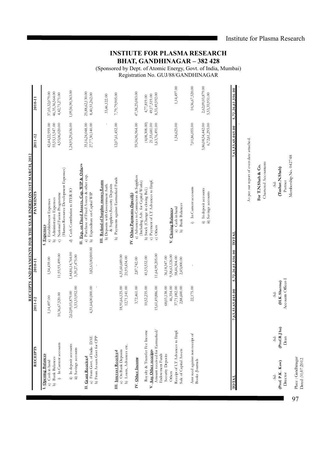Institute for Plasma Research

Place : Gandhinagar Dated :31.07.2012

Place : Gandhinagar<br>Dated :31,07,2012

97

# **INSTIUTE FOR PLASMA RESEARCH BHAT, GANDHINAGAR – 382 428**

(Sponsored by Dept. of Atomic Energy, Govt. of India, Mumbai) Registration No. GUJ/88/GANDHINAGAR

|                                                                                          |                                    |                                                          |                                                               | RECEIPTS AND PAYMENTS FOR THE YEAR ENDED ON 31ST MARCH, 2012                                                                                    |                                       |                                     |
|------------------------------------------------------------------------------------------|------------------------------------|----------------------------------------------------------|---------------------------------------------------------------|-------------------------------------------------------------------------------------------------------------------------------------------------|---------------------------------------|-------------------------------------|
| <b>RECEIPTS</b>                                                                          |                                    | 2011-12                                                  | 2010-11                                                       | <b>PAYMENTS</b>                                                                                                                                 | 2011-12                               | 2010-11                             |
| I. Opening Balances<br>b) Bank Balances<br>a) Cash in hand                               |                                    | 1,14,497.00                                              | 1,54,439.00                                                   | b) Administrative Expenses<br>a) Establishment Expenses<br>I. Expenses                                                                          | 55,55,13,547.00<br>42, 44, 22, 959.00 | 37,03,32,079.00<br>46,35,36,564.00  |
| i) In Current accounts                                                                   |                                    | 10,36,67,520.00                                          | 11,93,93,499.00                                               | (Human Resource Development Expenses)<br>National Fusion Programme<br>$\widehat{\mathbf{C}}$                                                    | 4,55,06,020.00                        | 4,42,71,271.00                      |
| ii) In deposit accounts<br>iii) Savings accounts                                         |                                    | 3,53,35,952.00<br>2,62,09,03,879.00                      | 1,44,86,14,764.00<br>3,39,27,475.00                           | Cash Contribution to ITER-IO<br>Ð                                                                                                               | 1,24,95,29,636.00                     | 1,09,56,90,363.00                   |
| a) From Govt. of India-DAE<br>b) From Assam Govt for CPP<br>II. Grant Received           |                                    | 4,51,64,00,000.00                                        | 3,82,63,00,000.00                                             | II. Exp. on Fixed Assets, Cap. WIP & Others<br>a) Purchase of Fixed Assets & other exp.<br>b) Expenditure on Capital WTP                        | 35,16,24,048.00<br>27,77,30,140.00    | 25,88,62,130.00<br>8,40,51,262.00   |
| a) On Bank Deposits<br>III. Interest Received                                            |                                    | 18,91,66,125.00                                          | 6,55,60,689.00                                                | b) Payments against Earmarked Funds<br>III. Refund of Surplus money Loans<br>b) Deposits with Government Auth.<br>& Suppliers Security Deposits | 12,07,61,452.00                       | 7,79,79,905.00<br>33,46,122.00      |
| b) Loans, Advances etc.                                                                  |                                    | 12,71,141.00                                             | 21,95,434.00<br>2,87,742.00                                   | IV. Other Payments (Specify)                                                                                                                    | 59,36,96,964.00                       | 47,58,25,083.00                     |
| Royalty & Transfer Fee Income<br>IV. Other Income                                        |                                    | 3,72,461.00<br>10,52,235.00                              | 41,55,532.00                                                  | a) Advances to Contractors & Suppliers<br>(Including Adv. for Capital Works)<br>b) Stock (Change in closing Bal.)                               | (4,08,308.00)                         | 4,77,819.00                         |
| Amount received for Farmarked/<br>V. Any Other receipts<br><b>Endowment Funds</b>        |                                    | 15,61,49,886.00                                          | 11,64,99,205.00                                               | c) Payment of LT Advances to Empl.<br>e) Others                                                                                                 | 21,55,681.00<br>1,63,76,491.00        | 8,33,49,592.00<br>49,17,519.00      |
| Receipt of LT Advances to Empl.<br>Sale of Capital Assets<br>Security Deposits<br>Others |                                    | 68,03,138.00<br>46,354.00<br>37,71,082.00<br>2,88,600.00 | 9,58,63,126.00<br>58,46,304.00<br>36,18,347.00<br>2,45,000.00 | <b>Bank Balances</b><br>Cash in hand<br>V. Closing Balances<br>$\hat{p}$<br>$\widehat{a}$                                                       | 1,54,625.00                           | 1,14,497.00                         |
| A mt recd against non receipt of<br>Books /Journals                                      |                                    | 22,175.00                                                |                                                               | In Current accounts<br>$\hat{r}$                                                                                                                | 7,01,86,055.00                        | 10,36,67,520.00                     |
|                                                                                          |                                    |                                                          |                                                               | ii) In deposit accounts<br>iii) Savings accounts                                                                                                | 6,72,61,293.00<br>3,86,08,54,442.00   | 2,62,09,03,879.00<br>3,53,35,951.00 |
| TOTAL                                                                                    |                                    | 7,63,53,65,045.00                                        | 5,72,26,61,556.00                                             | TOTAL                                                                                                                                           | ,63,53,65,045.00                      | 5,72,26,61,556.00                   |
|                                                                                          |                                    |                                                          |                                                               | As per our report of even date attached.                                                                                                        |                                       |                                     |
|                                                                                          |                                    |                                                          |                                                               | Chartered Accountants<br>For T.N.Shah & Co.                                                                                                     |                                       |                                     |
| (Prof. P.K. Kaw)<br>Director<br>$-5d-$                                                   | ha)<br>(Prof.R.)<br>$-5d-$<br>Dean | Accounts Officer-I<br>(H.K.Sharma)<br>$-5d-$             |                                                               | Membership No. 042748<br>(Tushar.N.Shah)<br>Partner<br>-Sd-                                                                                     |                                       |                                     |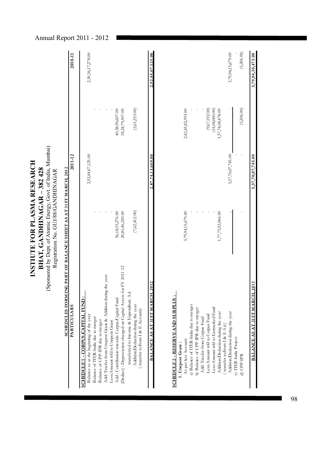Registration No. GUJ/88/GANDHINAGAR Registration No. GUJ/88/GANDHINAGAR

| <b>PARTICULARS</b>                                               | 2011-12           | 2010-11           |
|------------------------------------------------------------------|-------------------|-------------------|
| <u>SCHEDULE 1 - CORPUS CAPITAL FUND :</u>                        |                   |                   |
| Balance as at the beginning of the year                          | 2,52,44,67,125.00 | 2,30,36,17,278.00 |
| Balance of ITER-India due to merger                              |                   |                   |
| Balance of CPP-IPR due to merger                                 |                   |                   |
| Add: Trasfer from Unspent Grant & Addition during the year       |                   |                   |
| Less:Amount trfd to Unspent Grant                                |                   |                   |
| Add: Contribution towards Corpus Capital Fund                    | 56,18,55,276.00   | 40,38,90,607.00   |
| (Deduct) : Depreciation charged on Capital Assets for FY 2011-12 | 20,81,46,320.00   | 8,24,79,507.00    |
| transferred to Income & Expenditure $A \not L$                   |                   |                   |
| Addition/Deduction during the year                               | (7,62,412.00)     | (5, 61, 253.00)   |
| (transfer to/from I & E Account)                                 |                   |                   |
| <b>BALANCE AS AT 31ST MARCH, 2012</b>                            | 2,87,74,13,669.00 | 2,52,44,67,125.00 |
|                                                                  |                   |                   |

# **SCHEDULE 2 - RESERVE AND SURPLUS : SCHEDULE 2 - RESERVE AND SURPLUS**

| 3,79,94,10,473.00 |                   | 5,57,70,07,745.00 |                   | BALANCE AS AT 31ST MARCH, 2012         |
|-------------------|-------------------|-------------------|-------------------|----------------------------------------|
| (5,206.00)        | (5,206.00)        |                   |                   | d) CPP-IPR                             |
|                   |                   |                   |                   | c) ITER-India Project                  |
| 3,79,94,15,679.00 |                   | 5,57,70,07,745.00 |                   | Addition/Deduction during the year     |
|                   |                   |                   |                   | (transfer to/from I & $E A f$ )        |
|                   | 1,37,74,08,478.00 |                   | 1,77,75,92,066.00 | Addition/Deduction during the year     |
|                   | (14,08,000.00)    |                   |                   | Less:Amount trfd to Earmarked Fund     |
|                   | (9,67,192.00)     |                   |                   | Less:Amount trfd to Corpus Fund        |
|                   |                   |                   |                   | Add: Trasfer from Corpus Fund          |
|                   |                   |                   |                   | b) Balance of CPP-IPR due to merger    |
|                   |                   |                   |                   | a) Balance of ITER-India due to merger |
|                   | 2,42,43,82,393.00 |                   | 3,79,94,15,679.00 | As per last Account                    |
|                   |                   |                   |                   | 1. Unspent Grant:                      |
|                   |                   |                   |                   | SUHHUULE Z - KESEKVE AND SUKPLUS ;     |

# Annual Report 2011 - 2012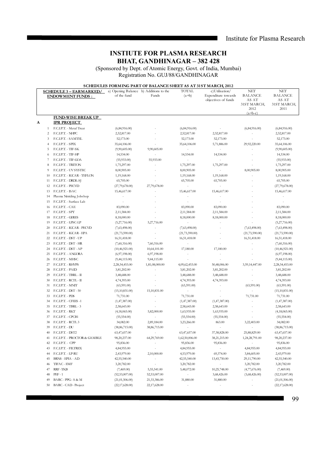# **INSTIUTE FOR PLASMA RESEARCH BHAT, GANDHINAGAR – 382 428**

(Sponsored by Dept. of Atomic Energy, Govt. of India, Mumbai) Registration No. GUJ/88/GANDHINAGAR

# **SCHEDULES FORMING PART OF BALANCE SHEET AS AT 31ST MARCH, 2012**

|   |                  | <b>SCHEDULE 3 - EARMARKED/</b>           | a) Opening Balance b) Additions to the |                          | <b>TOTAL</b>             | c) Utilisation/          | NET                      | NET                      |
|---|------------------|------------------------------------------|----------------------------------------|--------------------------|--------------------------|--------------------------|--------------------------|--------------------------|
|   |                  | <b>ENDOWMENT FUNDS:</b>                  | of the fund                            | Funds                    | $(a+b)$                  | Expenditure towards      | <b>BALANCE</b>           | <b>BALANCE</b>           |
|   |                  |                                          |                                        |                          |                          | objectives of funds      | AS AT                    | AS AT                    |
|   |                  |                                          |                                        |                          |                          |                          | 31ST MARCH,              | 31ST MARCH,              |
|   |                  |                                          |                                        |                          |                          |                          | 2012                     | 2011                     |
|   |                  | <b>FUND-WISE BREAK UP</b>                |                                        |                          |                          |                          | $(a+b-c)$                |                          |
|   |                  |                                          |                                        |                          |                          |                          |                          |                          |
| A |                  | <b>IPR PROJECT</b>                       |                                        |                          |                          |                          |                          |                          |
|   | 1                | F.C.I.P.T. - Metal Treat                 | (6, 84, 916.00)                        |                          | (6,84,916.00)            |                          | (6, 84, 916.00)          | (6, 84, 916.00)          |
|   | $\overline{c}$   | F.C.I.P.T. - NHPC                        | 2,52,817.00                            |                          | 2,52,817.00              | 2,52,817.00              |                          | 2,52,817.00              |
|   | 3                | F.C.I.P.T. - SAMTEL                      | 52,173.00                              |                          | 52,173.00                | 52,173.00                | ä,                       | 52,173.00                |
|   | $\overline{4}$   | F.C.I.P.T. - SPIX                        | 35,64,106.00                           |                          | 35,64,106.00             | 5,71,886.00              | 29,92,220.00             | 35,64,106.00             |
|   | 5                | <b>F.C.I.P.T. - TIF-SK</b>               | (9,90,605.00)                          | 9,90,605.00              | ä,                       | $\sim$                   |                          | (9,90,605.00)            |
|   | 6                | F.C.I.P.T. - TIF-HP                      | 14,534.00                              |                          | 14,534.00                | 14,534.00                | ł.                       | 14,534.00                |
|   | $\boldsymbol{7}$ | F.C.I.P.T. - TIF-GOA                     | (55, 933.00)                           | 55,933.00                |                          | $\sim$                   |                          | (55,933.00)              |
|   | 8                | <b>F.C.I.P.T. - TRITON</b>               | 1,75,297.00                            | L                        | 1,75,297.00              | 1,75,297.00              | ä,                       | 1,75,297.00              |
|   | 9                | <b>F.C.I.P.T. - UV SYSTEC</b>            | 8,00,905.00                            | ä,                       | 8,00,905.00              | $\blacksquare$           | 8,00,905.00              | 8,00,905.00              |
|   | 10               | F.C.I.P.T. - IGCAR - TEFLON              | 1,19,168.00                            | i.                       | 1,19,168.00              | 1,19,168.00              | ä,                       | 1,19,168.00              |
|   | 11               | F.C.I.P.T. - DRDL-SJ                     | 65,705.00                              |                          | 65,705.00                | 65,705.00                | ÷,                       | 65,705.00                |
|   | 12               | F.C.I.P.T. - PECVD                       | (27,79,678.00)                         | 27,79,678.00             | $\overline{\phantom{a}}$ | $\overline{\phantom{a}}$ |                          | (27,79,678.00)           |
|   | 13               | F.C.I.P.T. - ISAC                        | 15,46,617.00                           |                          | 15,46,617.00             | 15,46,617.00             | ä,                       | 15,46,617.00             |
|   | 14               | Plasma Nitriding Jobshop                 | $\overline{\phantom{a}}$               |                          | $\bar{a}$                | $\overline{\phantom{a}}$ |                          | $\overline{\phantom{a}}$ |
|   | 15               | F.C.I.P.T. - Surface Lab                 | $\overline{\phantom{a}}$               |                          |                          | $\blacksquare$           |                          | $\blacksquare$           |
|   | 16               | F.C.I.P.T. - CAE                         | 83,090.00                              |                          | 83,090.00                | 83,090.00                |                          | 83,090.00                |
|   | $17\,$           | F.C.I.P.T. - SPT                         | 2,11,584.00                            |                          | 2,11,584.00              | 2,11,584.00              |                          | 2,11,584.00              |
|   | 18               | F.C.I.P.T. - GERES                       | 8,18,000.00                            | i.                       | 8,18,000.00              | 8,18,000.00              |                          | 8,18,000.00              |
|   | 19               | <b>F.C.I.P.T. - LPSC-LP</b>              | (5,27,716.00)                          | 5,27,716.00              | $\overline{\phantom{a}}$ | $\sim$                   |                          | (5,27,716.00)            |
|   | 20               | F.C.I.P.T. - IGCAR - PECVD               | (7,63,498.00)                          |                          | (7,63,498.00)            | $\blacksquare$           | (7,63,498.00)            | (7,63,498.00)            |
|   | 21               | F.C.I.P.T. - IGCAR - EPA                 | (21, 73, 590.00)                       |                          | (21, 73, 590.00)         |                          | (21, 73, 590.00)         | (21, 73, 590.00)         |
|   | 22               | F.C.I.P.T. - DST - UP                    | 16,51,418.00                           | $\bar{a}$                | 16,51,418.00             | ٠                        | 16,51,418.00             | 16,51,418.00             |
|   | 23               | F.C.I.P.T. - DST - HR                    | (7,60,316.00)                          | 7,60,316.00              | $\sim$                   | $\sim$                   |                          | (7,60,316.00)            |
|   | 24               | F.C.I.P.T. - DST - AP                    | (10, 46, 921.00)                       | 10,64,101.00             | 17,180.00                | 17,180.00                |                          | (10, 46, 921.00)         |
|   | 25               | F.C.I.P.T. - ANGORA                      | (6,97,198.00)                          | 6,97,198.00              | ä,                       | $\sim$                   |                          | (6,97,198.00)            |
|   | 26               | F.C.I.P.T. - MHSC                        | (9,44,115.00)                          | 9,44,115.00              | $\overline{\phantom{a}}$ | $\blacksquare$           | ä,                       | (9,44,115.00)            |
|   | 27               | F.C.I.P.T. - RHVPS                       | 2,28,54,453.00                         | 1,81,08,000.00           | 4,09,62,453.00           | 50,48,006.00             | 3,59,14,447.00           | 2,28,54,453.00           |
|   | 28               | F.C.I.P.T. - PAID                        | 3,81,202.00                            |                          | 3,81,202.00              | 3,81,202.00              |                          | 3,81,202.00              |
|   | 29               | F.C.I.P.T. - TBRL - II                   | 3,48,688.00                            |                          | 3,48,688.00              | 3,48,688.00              | ÷,                       | 3,48,688.00              |
|   | 30               | F.C.I.P.T. - RCTL - II                   | 4,74,393.00                            |                          | 4,74,393.00              | 4,74,393.00              |                          | 4,74,393.00              |
|   | 31               | F.C.I.P.T. - MNIT                        | (63, 591.00)                           |                          | (63, 591.00)             | $\overline{\phantom{a}}$ | (63,591.00)              | (63,591.00)              |
|   | 32               | <b>F.C.I.P.T. - DST - 50</b>             | (15,10,831.00)                         | 15,10,831.00             | $\sim$                   | $\overline{\phantom{a}}$ |                          | (15, 10, 831.00)         |
|   | 33               | F.C.I.P.T. - PDS                         | 71,731.00                              |                          | 71,731.00                |                          | 71,731.00                | 71,731.00                |
|   | 34               | F.C.I.P.T. - CFEES -1                    | (1,47,387.00)                          | $\blacksquare$           | (1,47,387.00)            | (1,47,387.00)            |                          | (1,47,387.00)            |
|   | 35               | F.C.I.P.T. - TBRL - 3                    | 2,58,643.00                            |                          | 2,58,643.00              | 2,58,643.00              | i.                       | 2,58,643.00              |
|   | 36               | F.C.I.P.T. - RKT                         | (4,18,065.00)                          | 5,82,000.00              | 1,63,935.00              | 1,63,935.00              | ÷,                       | (4,18,065.00)            |
|   | 37               | F.C.I.P.T. - CPCB1                       |                                        | ä,                       |                          |                          |                          |                          |
|   | 38               | F.C.I.P.T. - RCTL3                       | (55, 554.00)                           |                          | (55, 554.00)             | (55, 554.00)<br>863.00   |                          | (55, 554.00)             |
|   | 39               | F.C.I.P.T. - DU                          | 34,082.00                              | 2,89,184.00              | 3,23,266.00              | $\sim$                   | 3,22,403.00              | 34,082.00                |
|   |                  |                                          | (38, 86, 715.00)                       | 38,86,715.00             | $\bar{a}$                |                          |                          | (38, 86, 715.00)         |
|   | 40               | F.C.I.P.T. - DST2                        | 63,47,657.00                           | L,                       | 63,47,657.00             | 37,58,828.00             | 25,88,829.00             | 63,47,657.00             |
|   | 41               | <b>F.C.I.P.T. - PROCTOR &amp; GAMBLE</b> | 98,20,237.00                           | 64,29,769.00             | 1,62,50,006.00           | 38,21,215.00             | 1,24,28,791.00           | 98,20,237.00             |
|   | 42               | <b>E.C.I.P.T. - CPP</b>                  | 95,836.00                              | $\overline{\phantom{a}}$ | 95,836.00                | 95,836.00                | $\overline{\phantom{a}}$ | 95,836.00                |
|   | 43               | F.C.I.P.T. - FILTREX                     | 4,84,955.00                            |                          | 4,84,955.00              | ÷,                       | 4,84,955.00              | 4,84,955.00              |
|   | 44               | F.C.I.P.T. - LP-RU                       | 2,43,979.00                            | 2,10,000.00              | 4,53,979.00              | 69,374.00                | 3,84,605.00              | 2,43,979.00              |
|   | 45               | BRNS - EPIA - AD                         | 42,55,540.00                           |                          | 42,55,540.00             | 13,43,750.00             | 29,11,790.00             | 42,55,540.00             |
|   | 46               | TIFAC - EMF                              | 3,20,782.00                            | $\bar{a}$                | 3,20,782.00              | $\overline{\phantom{a}}$ | 3,20,782.00              | 3,20,782.00              |
|   | 47               | RRF-TKB                                  | (7,469.00)                             | 5,55,541.00              | 5,48,072.00              | 10,25,748.00             | (4,77,676.00)            | (7,469.00)               |
|   | 48               | $PEF - 1$                                | (52, 53, 007.00)                       | 52,53,007.00             | $\overline{\phantom{a}}$ | 3,68,426.00              | (3,68,426.00)            | (52, 53, 007.00)         |
|   | 49               | BARC - PPG - S & M                       | (21,01,506.00)                         | 21,33,386.00             | 31,880.00                | 31,880.00                |                          | (21, 01, 506.00)         |
|   | 50               | BARC - CAD - Project                     | (22, 17, 628.00)                       | 22,17,628.00             |                          |                          | $\overline{\phantom{a}}$ | (22, 17, 628.00)         |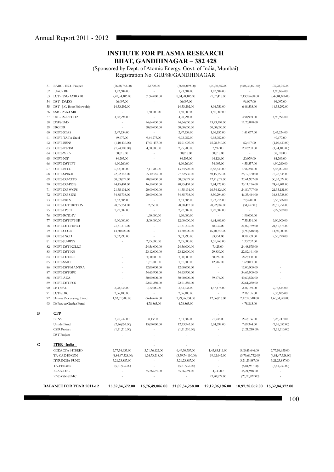# **INSTIUTE FOR PLASMA RESEARCH BHAT, GANDHINAGAR – 382 428**

SHIVES ON SOL 420<br>(Sponsored by Dept. of Atomic Energy, Govt. of India, Mumbai) Registration No. GUJ/88/GANDHINAGAR

| 51 | BARC - EED - Project            | (76, 28, 742.00)         | 22,703.00                | (76,06,039.00)   | 4,10,30,852.00           | (4,86,36,891.00)         | $-76,28,742.00$     |
|----|---------------------------------|--------------------------|--------------------------|------------------|--------------------------|--------------------------|---------------------|
| 52 | <b>IUAC-RF</b>                  | 1,93,684.00              |                          | 1,93,684.00      | 1,93,684.00              |                          | 1,93,684.00         |
| 53 | DST-TSG-GYRO-RF                 | 7,42,84,106.00           | 61,94,000.00             | 8,04,78,106.00   | 91,07,418.00             | 7,13,70,688.00           | 7,42,84,106.00      |
| 54 | DST-DADD                        | 96,097.00                |                          | 96,097.00        | $\overline{\phantom{a}}$ | 96,097.00                | 96,097.00           |
| 55 | DST - J.C. Bose Fellowship      | 14,53,292.00             | ×,                       | 14,53,292.00     | 8,04,759.00              | 6,48,533.00              | 14,53,292.00        |
| 56 | SSB - PKK-CSIR                  |                          | 1,50,000.00              | 1,50,000.00      | 1,50,000.00              |                          |                     |
| 57 | PRL - Planex CH <sub>2</sub>    | 4,98,994.00              |                          | 4,98,994.00      | $\overline{\phantom{a}}$ | 4,98,994.00              | 4,98,994.00         |
| 58 | DGFS-PhD                        |                          | 24,64,000.00             | 24,64,000.00     | 13,43,102.00             | 11,20,898.00             |                     |
| 59 | <b>ERC-IPR</b>                  |                          | 60,00,000.00             | 60,00,000.00     | 60,00,000.00             |                          |                     |
| 60 | FCIPT-STAS                      | 2,47,234.00              |                          | 2,47,234.00      | 1,06,157.00              | 1,41,077.00              | 2,47,234.00         |
| 61 | FCIPT-TATA Steel                | 49,677.00                | 9,44,275.00              | 9,93,952.00      | 9,93,952.00              |                          | 49,677.00           |
| 62 | FCIPT-BRNS                      | (1,10,430.00)            | 17,01,437.00             | 15,91,007.00     | 15,28,540.00             | 62,467.00                | (1,10,430.00)       |
| 63 | FCIPT-IIT-TM                    | (1,74,100.00)            | 4,50,000.00              | 2,75,900.00      | 3,697.00                 | 2,72,203.00              | (1,74,100.00)       |
| 64 | FCIPT-WRA                       | 38,018.00                |                          | 38,018.00        | 38,018.00                | ÷,                       | 38,018.00           |
| 65 | FCIPT-NIT                       | 84,203.00                | $\overline{\phantom{a}}$ | 84,203.00        | 64,124.00                | 20,079.00                | 84,203.00           |
| 66 | FCIPT-DST-IPT                   | 4,90,260.00              |                          | 4,90,260.00      | 34,903.00                | 4,55,357.00              | 4,90,260.00         |
| 67 | FCIPT-BPCL                      | 6,43,003.00              | 7,11,900.00              | 13,54,903.00     | 8,58,643.00              | 4,96,260.00              | 6,43,003.00         |
| 68 | FCIPT-SPIX-II                   | 72,22,345.00             | 25,10,585.00             | 97,32,930.00     | 69,15,750.00             | 28,17,180.00             | 72,22,345.00        |
| 69 | FCIPT-DU-CDPS                   | 30,03,029.00             | 20,00,000.00             | 50,03,029.00     | 12,41,077.00             | 37,61,952.00             | 30,03,029.00        |
| 70 | FCIPT-DU-PPNS                   | 24,45,401.00             | 16,50,000.00             | 40,95,401.00     | 7,84,225.00              | 33,11,176.00             | 24,45,401.00        |
| 71 | FCIPT-DU-WGPS                   | 21, 35, 131.00           | 20,00,000.00             | 41, 35, 131.00   | 16,54,424.00             | 24,80,707.00             | 21, 35, 131.00      |
| 72 | FCIPT-DU-SEPS                   | 34,85,738.00             | 20,00,000.00             | 54,85,738.00     | 8,50,294.00              | 46,35,444.00             | 34,85,738.00        |
| 73 | FCIPT-BRFST                     | 3,53,386.00              |                          | 3,53,386.00      | 2,73,916.00              | 79,470.00                | 3,53,386.00         |
| 74 | FCIPT-DST TRITION               | 28,55,754.00             | 2,658.00                 | 28,58,412.00     | 28,92,889.00             | (34, 477.00)             | 28,55,754.00        |
| 75 | FCIPT-LPSCI                     | 2,27,589.00              | $\blacksquare$           | 2,27,589.00      | 2,27,589.00              | $\overline{\phantom{a}}$ | 2,27,589.00         |
| 76 | FCIPT-RCTL-IV                   | $\overline{\phantom{a}}$ | 1,90,000.00              | 1,90,000.00      | $\bar{z}$                | 1,90,000.00              |                     |
| 77 | FCIPT-DST-IPT-FR                | 9,00,000.00              | 3,00,000.00              | 12,00,000.00     | 4,64,409.00              | 7,35,591.00              | 9,00,000.00         |
| 78 | FCIPT-DST-HIFED                 | 21,51,376.00             |                          | 21,51,376.00     | 48,637.00                | 21,02,739.00             | 21,51,376.00        |
| 79 | FCIPT-CORR                      | 14,50,000.00             | $\sim$                   | 14,50,000.00     | 16,40,548.00             | (1,90,548.00)            | 14,50,000.00        |
| 80 | FCIPT-EXCEL                     | 9,53,790.00              |                          | 9,53,790.00      | 83,251.00                | 8,70,539.00              | 9,53,790.00         |
| 81 | FCIPT-JU-BPPS                   | $\sim$                   | 2,75,000.00              | 2,75,000.00      | 1,51,268.00              | 1,23,732.00              |                     |
| 82 | FCIPT-DST-KULLU                 | ä,                       | 24,56,000.00             | 24,56,000.00     | 7,425.00                 | 24,48,575.00             |                     |
| 83 | FCIPT-DST-KH                    |                          | 23,12,000.00             | 23,12,000.00     | 29,839.00                | 22,82,161.00             |                     |
| 84 | FCIPT-DST-KU                    |                          | 3,00,000.00              | 3,00,000.00      | 30,692.00                | 2,69,308.00              |                     |
| 85 | FCIPT-SMIT                      | ä,                       | 1,81,800.00              | 1,81,800.00      | 12,789.00                | 1,69,011.00              |                     |
| 86 | FCIPT-DST-MANIRA                |                          | 12,00,000.00             | 12,00,000.00     | $\overline{\phantom{a}}$ | 12,00,000.00             |                     |
| 87 | FCIPT-DST-SPC                   | ä,                       | 34,63,900.00             | 34,63,900.00     | $\overline{\phantom{a}}$ | 34,63,900.00             |                     |
| 88 | FCIPT-ADA                       | ä,                       | 50,00,000.00             | 50,00,000.00     | 39,474.00                | 49,60,526.00             |                     |
| 89 | FCIPT-DST-PCS                   |                          | 22,61,250.00             | 22,61,250.00     | $\overline{\phantom{a}}$ | 22,61,250.00             |                     |
| 90 | DST/PAC                         | 2,78,634.00              | 1,05,000.00              | 3,83,634.00      | 1,47,475.00              | 2,36,159.00              | 2,78,634.00         |
| 91 | DST-SERC                        | 2,36,105.00              |                          | 2,36,105.00      |                          | 2,36,105.00              | 2,36,105.00         |
| 92 | Plasma Processing Fund          | 1,63,31,708.00           | 66,44,626.00             | 2,29,76,334.00   | 12,56,816.00             | 2,17,19,518.00           | 1,63,31,708.00      |
| 93 | Dr.Parvez Guzdar Fund           | $\overline{\phantom{a}}$ | 4,78,863.00              | 4,78,863.00      | ä,                       | 4,78,863.00              |                     |
|    |                                 |                          |                          |                  |                          |                          |                     |
| В  | CPP                             |                          |                          |                  |                          |                          |                     |
|    | <b>BRNS</b>                     | 3,25,747.00              | 8,135.00                 | 3,33,882.00      | 71,746.00                | 2,62,136.00              | 3,25,747.00         |
|    | Untide Fund                     | (2,26,057.00)            | 15,00,000.00             | 12,73,943.00     | 5,04,599.00              | 7,69,344.00              | (2,26,057.00)       |
|    | <b>CSIR</b> Project             | (1,21,210.00)            |                          | (1,21,210.00)    | $\sim$                   | (1,21,210.00)            | (1,21,210.00)       |
|    | <b>DST</b> Project              | $\blacksquare$           |                          |                  |                          |                          |                     |
| C  | <b>ITER</b> - India             |                          |                          |                  |                          |                          |                     |
|    |                                 |                          |                          |                  |                          |                          |                     |
|    | CODACTA1-ITERIO                 | 2,77,54,635.00           | 3,71,76,122.00           | 6,49,30,757.00   | 1,43,85,111.00           | 5,05,45,646.00           | 2,77,54,635.00      |
|    | TA-CAD-ENG/IN                   | (4, 84, 47, 328.00)      | 1,24,73,218.00           | (3,59,74,110.00) | 19,92,642.00             | (3,79,66,752.00)         | (4, 84, 47, 328.00) |
|    | ITER INDIA FUND                 | 3,21,23,887.00           | $\sim$                   | 3,21,23,887.00   | $\sim$                   | 3,21,23,887.00           | 3,21,23,887.00      |
|    | TA-FEEDER                       | (5,81,937.00)            | $\overline{\phantom{a}}$ | (5,81,937.00)    | $\overline{\phantom{a}}$ | (5,81,937.00)            | (5,81,937.00)       |
|    | <b>IO-SA-DPE</b>                | $\blacksquare$           | 35,26,691.00             | 35,26,691.00     | 4,743.00                 | 35,21,948.00             |                     |
|    | <b>IOTASK-SPMC</b>              | $\blacksquare$           |                          |                  | 23,20,822.00             | (23,20,822.00)           | $\blacksquare$      |
|    | <b>BALANCE FOR YEAR 2011-12</b> | 15.32.84.372.00          | 15.76.49.886.00          | 31.09.34.258.00  | 12,12,06,196.00          | 18.97.28.062.00          | 15.32.84.372.00     |
|    |                                 |                          |                          |                  |                          |                          |                     |

100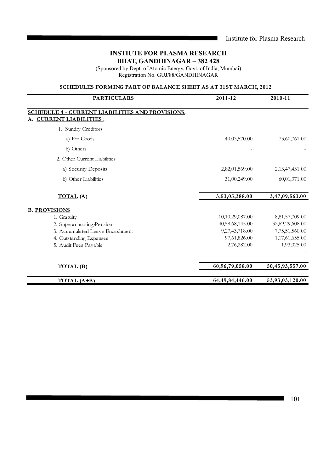(Sponsored by Dept. of Atomic Energy, Govt. of India, Mumbai) Registration No. GUJ/88/GANDHINAGAR

# **SCHEDULES FORMING PART OF BALANCE SHEET AS AT 31ST MARCH, 2012**

| <b>PARTICULARS</b>                                      | 2011-12         | 2010-11         |
|---------------------------------------------------------|-----------------|-----------------|
| <b>SCHEDULE 4 - CURRENT LIABILITIES AND PROVISIONS:</b> |                 |                 |
| <b>CURRENT LIABILITIES:</b>                             |                 |                 |
| 1. Sundry Creditors                                     |                 |                 |
| a) For Goods                                            | 40,03,570.00    | 73,60,761.00    |
| b) Others                                               |                 |                 |
| 2. Other Current Liabilities                            |                 |                 |
| a) Security Deposits                                    | 2,82,01,569.00  | 2,13,47,431.00  |
| b) Other Liabilities                                    | 31,00,249.00    | 60,01,371.00    |
| <b>TOTAL</b> (A)                                        | 3,53,05,388.00  | 3,47,09,563.00  |
| <b>B. PROVISIONS</b>                                    |                 |                 |
| 1. Gratuity                                             | 10,10,29,087.00 | 8,81,57,709.00  |
| 2. Superannuating/Pension                               | 40,58,68,145.00 | 32,69,29,608.00 |
| 3. Accumulated Leave Encashment                         | 9,27,43,718.00  | 7,75,51,560.00  |
| 4. Outstanding Expenses                                 | 97,61,826.00    | 1,17,61,655.00  |
| 5. Audit Fees Payable                                   | 2,76,282.00     | 1,93,025.00     |
|                                                         |                 |                 |
| <b>TOTAL</b> (B)                                        | 60,96,79,058.00 | 50,45,93,557.00 |
| $TOTAL (A+B)$                                           | 64,49,84,446.00 | 53,93,03,120.00 |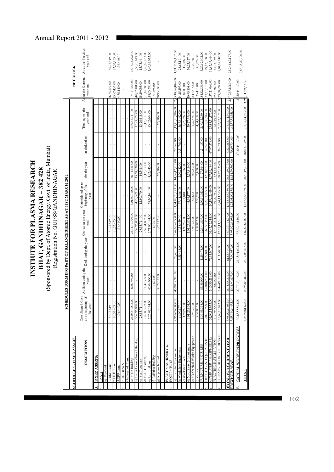|    |                                                         |                                                     |                                                           | (Sponsored by Dept. of Atomic Energy, Govt. of India, Mumbai)<br>INSTIUTE FOR PLASMA RESEARCH<br>BHAT, GANDHINAGAR - 382 428<br>Registration No. GUJ/88/GANDHINAGAR |                                   |                                                |                                    |                 |                                                                                                         |                                 |                                |
|----|---------------------------------------------------------|-----------------------------------------------------|-----------------------------------------------------------|---------------------------------------------------------------------------------------------------------------------------------------------------------------------|-----------------------------------|------------------------------------------------|------------------------------------|-----------------|---------------------------------------------------------------------------------------------------------|---------------------------------|--------------------------------|
|    |                                                         | <b>SCHED</b>                                        | ULES FORMING PART OF BALANCE SHEET AS AT 31ST MARCH, 2012 |                                                                                                                                                                     |                                   |                                                |                                    |                 |                                                                                                         |                                 |                                |
|    | <b>SCHEDULE 5 - FIXED ASSETS</b>                        |                                                     |                                                           |                                                                                                                                                                     |                                   |                                                |                                    |                 |                                                                                                         | NET BLOCK                       |                                |
|    | <b>DESCRIPTION</b>                                      | Consolidated Cost<br>as at beginning of<br>the year | year                                                      | Addition during the Ded. during the year Cost as at the year                                                                                                        | end                               | Consolidated up to<br>beginning of the<br>year | for the year                       | on deductions   | Total up to the<br>year end                                                                             | at the Current<br>year end<br>Š | As at the Previous<br>year end |
|    | FIXED ASSETS:                                           |                                                     |                                                           |                                                                                                                                                                     |                                   |                                                |                                    |                 |                                                                                                         |                                 |                                |
|    |                                                         |                                                     |                                                           |                                                                                                                                                                     |                                   |                                                |                                    |                 |                                                                                                         |                                 |                                |
|    | Freehold                                                |                                                     |                                                           |                                                                                                                                                                     |                                   |                                                |                                    |                 |                                                                                                         |                                 |                                |
|    | Bhat Land                                               | 56,75,519.00                                        |                                                           |                                                                                                                                                                     | 56,75,519.00                      |                                                |                                    |                 |                                                                                                         | 6,75,519.00                     | 56,75,519.00                   |
|    | 2. GIDC Land                                            | 83,52,433.00                                        |                                                           |                                                                                                                                                                     | 83,52,433.00                      |                                                |                                    |                 |                                                                                                         | 13,52,433.00                    | 83,52,433.00                   |
|    | 3. CPP Land                                             | 4,36,440.00                                         |                                                           |                                                                                                                                                                     | 4,36,440.00                       |                                                |                                    |                 |                                                                                                         | 4,36,440.00                     | 4,36,440.00                    |
|    | On Freehold Land<br><b>BUILDINGS</b>                    |                                                     |                                                           |                                                                                                                                                                     |                                   |                                                |                                    |                 |                                                                                                         |                                 |                                |
|    | t) Main Building                                        | 23,05,54,002.00                                     | 8,88,797.00                                               |                                                                                                                                                                     | 23,14,42,799.00                   | 5,01,80,710.00                                 | 38,04,531.00                       |                 | 5,39,85,241.00                                                                                          | 74,57,558.00                    | 18,03,73,292.00                |
|    | o) Guest House/Hostel Building                          | 5,57,96,008.00                                      |                                                           |                                                                                                                                                                     | 5,57,96,008.00                    | 4,25,389.00                                    | 13,68,138.00                       |                 | 17,93,527.00                                                                                            | 40,02,481.00                    | 5,53,70,619.00                 |
|    | Staff quarters                                          | 28,55,711.00                                        |                                                           |                                                                                                                                                                     | 28,55,711.00                      | 12,80,070.00                                   | 46,548.00                          |                 | 13,26,618.00                                                                                            | 5,29,093.00                     | 15,75,641.00                   |
|    | 1) FCIPT Building                                       | 7, 42, 89, 423.00                                   | 14,42,379.00                                              |                                                                                                                                                                     | 7,57,31,802.00                    |                                                | 6,17,214.00                        |                 | 6,17,214.00                                                                                             | 51,14,588.00                    | 7,42,89,423.00                 |
|    | :) Lab.Building                                         | 2,25,02,194.00                                      | 46,04,000.00                                              |                                                                                                                                                                     | 2,71,06,194.00                    | 78,10,161.00                                   | 4,92,443.00                        |                 | 83,02,604.00                                                                                            | ,88,03,590.00                   | 1,46,92,033.00                 |
|    | Addition Building                                       |                                                     | 71,695.00                                                 |                                                                                                                                                                     | 71,695.00                         |                                                |                                    |                 |                                                                                                         | 71,695.00                       |                                |
|    | 3) Approach Road                                        |                                                     | 39,27,112.00                                              |                                                                                                                                                                     | 39,27,112.00                      |                                                | 32,006.00                          |                 | 32,006.00                                                                                               | 38,95,106.00                    |                                |
|    | PLANT MACHINERY &                                       |                                                     |                                                           |                                                                                                                                                                     |                                   |                                                |                                    |                 |                                                                                                         |                                 |                                |
|    | <b>EQUIPMENTS</b>                                       |                                                     |                                                           |                                                                                                                                                                     |                                   |                                                |                                    |                 |                                                                                                         |                                 |                                |
|    | t) Scientific Equipments                                | 2,96,62,63,080.00                                   | 45,98,12,981.00                                           | 28,481.00                                                                                                                                                           | 3,42,60,47,580.00                 | 1,04,85,70,923.00                              | 14,56,42,718.00                    | 22,545.00       | 1,19,41,91,096.00                                                                                       | 2,43,18,56,484.00               | 1,91,76,92,157.00              |
|    | ) Workshop Equipments                                   | 66,09,877.00<br>1,90,926.00                         |                                                           | 5,51,418.00                                                                                                                                                         | 60,58,459.00                      | 37,44,686.00<br>00'0 <del>b</del> 8'12'1       | 2,20,242.00                        | 3,31,766.00     | 36,33,162.00                                                                                            | 24,25,297.00                    | 28,65,191.00                   |
|    | 1) Machinery & Equipment<br>:) Workshop Tools           | 1,01,23,804.00                                      |                                                           |                                                                                                                                                                     | ,01,23,804.00<br>1,90,926.00      | 44,98,177.00                                   | 5,29,819.00<br>1,086.00            |                 | 50,27,996.00<br>1,72,926.00                                                                             | 50,95,808.00<br>18,000.00       | 56,25,627.00<br>19,086.00      |
|    | :) Mechanical Works Equipment                           | 3,94,390.00                                         |                                                           |                                                                                                                                                                     | 3,94,390.00                       | 1,55,652.00                                    | 20,923.00                          |                 | 1,76,575.00                                                                                             | 2,17,815.00                     | 2,38,738.00                    |
|    | Vehicle                                                 | 4,37,833.00                                         |                                                           |                                                                                                                                                                     | 4,37,833.00                       | 3,96,958.00                                    | 7,460.00                           |                 | 4,04,418.00                                                                                             | 33,415.00                       | 40,875.00                      |
|    | <b>ORNITURE, FIXTURES</b>                               | 5,39,85,338.00                                      | 85,89,009.00                                              | 29,478.00                                                                                                                                                           | 6,24,44,869.00                    | 2,09,96,023.00                                 | 31,27,364.00                       | 21,157.00       | 2,40,02,230.00                                                                                          | 84,42,639.00                    | 3,27,62,102.00                 |
|    | OFFICE/GEN. EQUIPMENTS                                  | 2,09,79,929.00                                      | ,60,06,234.00                                             | 1,27,800.00                                                                                                                                                         | 3,68,58,363.00                    | ,22,94,055.00                                  | 12,80,877.00                       | 54,248.00       | ,35,20,684.00                                                                                           | 33,37,679.00                    | 89,13,088.00                   |
|    | <b>STV NEH ALL ARTITUDING</b>                           | 32,04,11,933.00                                     | 5,13,55,219.00                                            | 72,14,907.00                                                                                                                                                        | 36,45,52,244.00                   | 20,19,02,469.00                                | 4,37,26,084.00                     | 67,97,378.00    | 23,88,31,175.00                                                                                         | ,57,21,069.00                   | 1,85,09,464.00                 |
|    | STVNADO I/ SNOOR AN VNHT<br><b>TECTRIC INSTALLATION</b> | 15,68,73,693.00<br>1,34,93,552.00                   | 1,44,49,198.00<br>7,08,652.00                             | 1,11,380.00                                                                                                                                                         | 17,12,11,511.00<br>1,42,02,204.00 | 6,64,11,553.00<br>69,20,293.00                 | 68,77,135.00<br>3,54,631.00        | 36,171.00       | 7,32,52,517.00<br>72,74,924.00                                                                          | 79,58,994.00<br>59,27,280.00    | 9,04,62,140.00<br>65,73,259.00 |
|    |                                                         |                                                     |                                                           |                                                                                                                                                                     | 4,50,39,17,897.00                 |                                                |                                    |                 |                                                                                                         |                                 |                                |
|    | <b>TOTAL FOR CURRENT YEAR</b><br><b>PREVIOUS YEAR</b>   | 3,95,02,26,085.00<br>26,435.00                      | 56,18,55,276.00<br>40,38,90,607.00                        | 81,63,464.00                                                                                                                                                        | 26,085.00                         | 25,03,09,155.00<br>1,42,57,58,959.00           | 20,81,49,219.00<br>18,24,79,507.00 | 73,63,265.00    | ,62,65,44,913.00<br>42,57,58,958.00                                                                     | 2,87,73,72,983.00               | 2,52,44,67,127.00              |
| B. | CAPITAL WORK-IN-PROGRESS                                | 30,88,55,593.00                                     | 27,77,30,140.00                                           | 21,35,41,603.00                                                                                                                                                     | 37,30,44,130.00                   |                                                |                                    | 37,30,44,130.00 |                                                                                                         | ,30,44,130.00                   |                                |
|    | <b>TOTAL</b>                                            | 4,25,90,81,678.00                                   | 83,95,85,416.00                                           | 22,17,05,067.00                                                                                                                                                     |                                   |                                                |                                    |                 | 4,87,69,62,027.00 1,42,57,58,959.00 20,81,49,219.00 38,04,07,395.00 1,62,65,44,913.00 3,24,04,17,113.00 |                                 | 2,83,33,22,720.00              |

 $\overline{\phantom{a}}$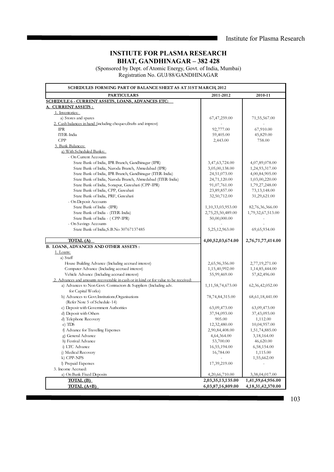# **INSTIUTE FOR PLASMA RESEARCH BHAT, GANDHINAGAR – 382 428**

(Sponsored by Dept. of Atomic Energy, Govt. of India, Mumbai) Registration No. GUJ/88/GANDHINAGAR

| SCHEDULES FORMING PART OF BALANCE SHEET AS AT 31ST MARCH, 2012                         |                                        |                                            |
|----------------------------------------------------------------------------------------|----------------------------------------|--------------------------------------------|
| <b>PARTICULARS</b>                                                                     | 2011-2012                              | 2010-11                                    |
| <u>SCHEDULE 6 - CURRENT ASSETS, LOANS, ADVANCES ETC:</u>                               |                                        |                                            |
| <b>CURRENT ASSETS:</b>                                                                 |                                        |                                            |
| 1. Inventories:                                                                        |                                        |                                            |
| a) Stores and spares                                                                   | 67, 47, 259.00                         | 71,55,567.00                               |
| 2. Cash balances in hand (including cheques/drafts and imprest)                        |                                        |                                            |
| IPR                                                                                    | 92,777.00                              | 67,910.00                                  |
| ITER-India                                                                             | 59,405.00                              | 45,829.00                                  |
| <b>CPP</b>                                                                             | 2,443.00                               | 758.00                                     |
| 3. Bank Balances:                                                                      |                                        |                                            |
| a) With Scheduled Banks:                                                               |                                        |                                            |
| - On Current Accounts                                                                  |                                        |                                            |
| State Bank of India, IPR Branch, Gandhinagar (IPR)                                     | 3,47,63,724.00                         | 4,07,89,078.00                             |
| State Bank of India, Naroda Branch, Ahmedabad (IPR)                                    | 3,05,00,138.00                         | 1,24,93,317.00                             |
| State Bank of India, IPR Branch, Gandhinagar (ITER-India)                              | 24,51,073.00                           | 4,00,84,905.00                             |
| State Bank of India, Naroda Branch, Ahmedabad (ITER-India)                             | 24,71,120.00                           | 1,03,00,220.00                             |
| State Bank of India, Sonapur, Guwahati (CPP-IPR)                                       | 91,07,761.00                           | 1,79,27,248.00                             |
| State Bank of India, CPP, Guwahati<br>State Bank of India, PRF, Guwahati               | 23,89,857.00                           | 73, 13, 148.00                             |
|                                                                                        | 32,50,712.00                           | 31,29,621.00                               |
| - On Deposit Accounts                                                                  |                                        |                                            |
| State Bank of India - (IPR)<br>State Bank of India - (ITER-India)                      | 1,10,33,03,953.00<br>2,75,25,50,489.00 | 82,76,36,366.00<br>1,79,32,67,513.00       |
| State Bank of India - (CPP-IPR)                                                        | 50,00,000.00                           |                                            |
| - On Savings Accounts                                                                  |                                        |                                            |
| State Bank of India, S.B. No 30767137485                                               | 5,25,12,963.00                         | 69,65,934.00                               |
|                                                                                        |                                        |                                            |
| TOTAL (A)                                                                              | 4,00,52,03,674.00                      | 2,76,71,77,414.00                          |
| <b>B. LOANS, ADVANCES AND OTHER ASSETS:</b>                                            |                                        |                                            |
| 1. Loans:                                                                              |                                        |                                            |
| a) Staff                                                                               |                                        |                                            |
| House Building Advance (Including accrued interest)                                    | 2,65,96,356.00                         | 2,77,19,271.00                             |
| Computer Advance (Including accrued interest)                                          | 1,15,40,992.00                         | 1,14,85,444.00                             |
| Vehicle Advance (Including accrued interest)                                           | 55,99,469.00                           | 57,82,496.00                               |
| 2. Advances and amounts recoverable in cash or in kind or for value to be received:    |                                        |                                            |
| a) Advances to Non Govt. Contractors & Suppliers (Including adv.<br>for Capital Works) | 1, 11, 58, 74, 673. 00                 | 62, 36, 42, 052. 00                        |
| b) Advances to Govt. Institutions/Organisations                                        | 78, 74, 84, 315.00                     | 68, 61, 18, 441. 00                        |
| (Refer Note 5 of Schedule-14)                                                          |                                        |                                            |
| c) Deposit with Government Authorities                                                 | 63,09,473.00                           | 63,09,473.00                               |
| d) Deposit with Others                                                                 | 37,94,093.00                           | 37,43,093.00                               |
| d) Telephone Recovery                                                                  | 905.00                                 | 1,112.00                                   |
| e) TDS                                                                                 | 12,32,480.00                           | 10,04,957.00                               |
| f) Advance for Travelling Expenses                                                     | 2,90,84,408.00                         | 1,51,74,885.00                             |
| g) General Advance                                                                     | 4,64,364.00                            | 3,18,164.00                                |
| h) Festival Advance                                                                    | 53,700.00                              | 46,620.00                                  |
| i) LTC Advance                                                                         | 16,55,194.00                           | 6,58,154.00                                |
| i) Medical Recovery                                                                    | 16,784.00                              | 1,115.00                                   |
| k) CPP-NPS                                                                             |                                        | 1,55,662.00                                |
| I) Prepaid Expenses                                                                    | 17,39,219.00                           |                                            |
| 3. Income Accrued:                                                                     |                                        |                                            |
| a) On Bank Fixed Deposits                                                              | 4,20,66,710.00                         | 3,38,04,017.00                             |
|                                                                                        |                                        |                                            |
| <b>TOTAL (B)</b><br><b>TOTAL (A+B)</b>                                                 | 2,03,35,13,135.00<br>6,03,87,16,809.00 | 1,41,59,64,956.00<br>4, 18, 31, 42, 370.00 |

103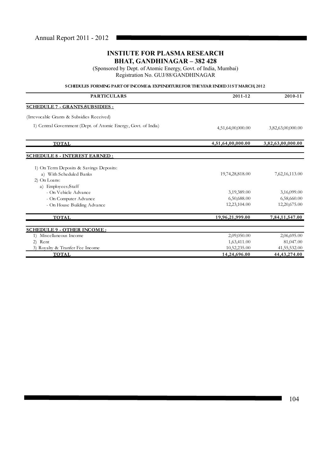(Sponsored by Dept. of Atomic Energy, Govt. of India, Mumbai) Registration No. GUJ/88/GANDHINAGAR

# **SCHEDULES FORMING PART OF INCOME & EXPENDITURE FOR THE YEAR ENDED 31ST MARCH, 2012**

| <b>PARTICULARS</b>                                             | 2011-12           | 2010-11           |
|----------------------------------------------------------------|-------------------|-------------------|
| <b>SCHEDULE 7 - GRANTS SUBSIDIES:</b>                          |                   |                   |
| (Irrevocable Grants & Subsidies Received)                      |                   |                   |
| 1) Central Government (Dept. of Atomic Energy, Govt. of India) | 4,51,64,00,000.00 | 3,82,63,00,000.00 |
| <b>TOTAL</b>                                                   | 4,51,64,00,000.00 | 3,82,63,00,000.00 |
| <b>SCHEDULE 8 - INTEREST EARNED:</b>                           |                   |                   |
| 1) On Term Deposits & Savings Deposits:                        |                   |                   |
| a) With Scheduled Banks                                        | 19,74,28,818.00   | 7,62,16,113.00    |
| 2) On Loans:                                                   |                   |                   |
| a) Employees/Staff                                             |                   |                   |
| - On Vehicle Advance                                           | 3,19,389.00       | 3,16,099.00       |
| - On Computer Advance                                          | 6,50,688.00       | 6,58,660.00       |
| - On House Building Advance                                    | 12,23,104.00      | 12,20,675.00      |
| <b>TOTAL</b>                                                   | 19,96,21,999.00   | 7,84,11,547.00    |
| <b>SCHEDULE 9 - OTHER INCOME:</b>                              |                   |                   |
| Miscellaneous Income<br>1)                                     | 2,09,050.00       | 2,06,695.00       |
| 2) Rent                                                        | 1,63,411.00       | 81,047.00         |
| 3) Royalty & Tranfer Fee Income                                | 10,52,235.00      | 41,55,532.00      |
| <b>TOTAL</b>                                                   | 14,24,696.00      | 44, 43, 274.00    |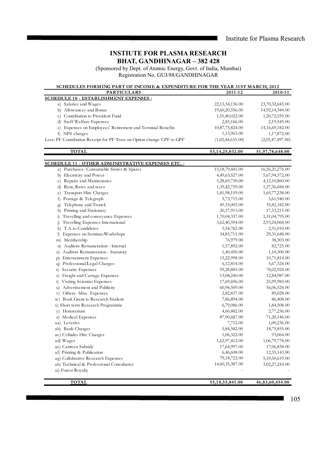# **INSTIUTE FOR PLASMA RESEARCH BHAT, GANDHINAGAR – 382 428**

(Sponsored by Dept. of Atomic Energy, Govt. of India, Mumbai) Registration No. GUJ/88/GANDHINAGAR

# SCHEDULES FORMING PART OF INCOME & EXPENDITURE FOR THE YEAR 31ST MARCH, 2012

| a) Salaries and Wages<br>22, 13, 34, 136.00<br>23,70,32,643.00<br>b) Allowances and Bonus<br>19,60,20,556.00<br>14,92,14,344.00<br>c) Contribution to Provident Fund<br>1,51,40,022.00<br>1,20,72,559.00<br>d) Staff Welfare Expenses<br>2,19,545.00<br>2,85,166.00<br>e) Expenses on Employees' Retirement and Terminal Benefits<br>10,87,75,824.00<br>14, 16, 69, 182. 00<br>1,13,963.00<br>f) NPS charges<br>1,17,872.00<br>Less: PF Contribution Receipt for PF Trust on Option change CPF to GPF<br>(1,02,44,635.00)<br>(2,05,47,497.00)<br><b>TOTAL</b><br>53,14,25,032.00<br>51,97,78,648.00<br><u>SCHEDULE 11 - OTHER ADMINISTRATIVE EXPENSES ETC. :</u><br>15, 18, 79, 441.00<br>16,56,21,276.00<br>a) Purchases- Consumable Stores & Spares<br>b) Electricity and Power<br>4,49,63,527.00<br>5,67,94,372.00<br>c) Repairs and Maintenance<br>5,28,69,730.00<br>4,12,10,860.00<br>d) Rent, Rates and taxes<br>1,35,42,759.00<br>1,27,36,684.00<br>e) Transport Hire Charges<br>1,81,98,159.00<br>1,65,77,238.00<br>f) Postage & Telegraph<br>5,73,715.00<br>5,61,940.00<br>Telephone and Trunck<br>49,33,002.00<br>35,82,342.00<br>g)<br>h) Printing and Stationary<br>17,53,215.00<br>20,37,913.00<br>i) Travelling and conveyance Expenses<br>1,31,04,795.00<br>1,70,04,337.00<br>Travelling Expenses-International<br>3,62,40,594.00<br>2,93,24,068.00<br>$\mathbf{j}$<br>k) T.A.to Candidates<br>5,54,762.00<br>2,51,010.00<br>I) Expenses on Seminar/Workshops<br>29,31,648.00<br>34,83,711.00<br>m) Membership<br>76,979.00<br>38,303.00<br>n) Auditors Remuneration - Internal<br>1,57,892.00<br>82,725.00<br>Auditors Remuneration - Statutory<br>1,40,450.00<br>1,10,300.00<br>O)<br><b>Entertainment Expenses</b><br>15,22,998.00<br>10,71,814.00<br>(p)<br>Professional/Legal Charges<br>5,67,324.00<br>6,12,814.00<br>q)<br>r) Security Expenses<br>95,28,885.00<br>78,02,924.00<br>Freight and Cartage Expenses<br>13,08,240.00<br>12,84,987.00<br>s)<br>Visiting Scientist Expenses<br>t)<br>17,69,696.00<br>25,99,983.00<br>u) Advertisement and Publicity<br>60,94,509.00<br>56,06,524.00<br>Others-Misc. Expenses<br>89,028.00<br>2,82,837.00<br>V)<br>w) Book Grant to Research Student<br>7,86,894.00<br>86,408.00<br>x) Short term Research Programme<br>6,79,086.00<br>1,84,508.00<br>y) Honorarium<br>4,60,482.00<br>2,77,256.00<br>z) Medical Expenses<br>87,90,687.00<br>71,20,146.00<br>aa) Leveries<br>7,712.00<br>1,00,236.00<br>ab) Bank Charges<br>5,84,582.00<br>18,75,855.00<br>ac) Cylinder Hire Charges<br>1,06,322.00<br>93,064.00<br>ad) Wages<br>1,62,97,412.00<br>1,06,79,778.00<br>ae) Canteen Subsidy<br>17,64,997.00<br>17,06,838.00<br>af) Printing & Publication<br>6,46,608.00<br>12,55,143.00<br>ag) Collobrative Research Expenses<br>79,18,722.00<br>5,10,50,619.00<br>14,60,35,387.00<br>ah) Technical & Professional Consultancy<br>3,02,27,243.00 | <b>PARTICULARS</b>                           | 2011-12 | 2010-11 |
|-------------------------------------------------------------------------------------------------------------------------------------------------------------------------------------------------------------------------------------------------------------------------------------------------------------------------------------------------------------------------------------------------------------------------------------------------------------------------------------------------------------------------------------------------------------------------------------------------------------------------------------------------------------------------------------------------------------------------------------------------------------------------------------------------------------------------------------------------------------------------------------------------------------------------------------------------------------------------------------------------------------------------------------------------------------------------------------------------------------------------------------------------------------------------------------------------------------------------------------------------------------------------------------------------------------------------------------------------------------------------------------------------------------------------------------------------------------------------------------------------------------------------------------------------------------------------------------------------------------------------------------------------------------------------------------------------------------------------------------------------------------------------------------------------------------------------------------------------------------------------------------------------------------------------------------------------------------------------------------------------------------------------------------------------------------------------------------------------------------------------------------------------------------------------------------------------------------------------------------------------------------------------------------------------------------------------------------------------------------------------------------------------------------------------------------------------------------------------------------------------------------------------------------------------------------------------------------------------------------------------------------------------------------------------------------------------------------------------------------------------------------------------------------------------------------------------------------------------------------------------------------------------------------|----------------------------------------------|---------|---------|
|                                                                                                                                                                                                                                                                                                                                                                                                                                                                                                                                                                                                                                                                                                                                                                                                                                                                                                                                                                                                                                                                                                                                                                                                                                                                                                                                                                                                                                                                                                                                                                                                                                                                                                                                                                                                                                                                                                                                                                                                                                                                                                                                                                                                                                                                                                                                                                                                                                                                                                                                                                                                                                                                                                                                                                                                                                                                                                             | <b>SCHEDULE 10 - ESTABLISHMENT EXPENSES:</b> |         |         |
|                                                                                                                                                                                                                                                                                                                                                                                                                                                                                                                                                                                                                                                                                                                                                                                                                                                                                                                                                                                                                                                                                                                                                                                                                                                                                                                                                                                                                                                                                                                                                                                                                                                                                                                                                                                                                                                                                                                                                                                                                                                                                                                                                                                                                                                                                                                                                                                                                                                                                                                                                                                                                                                                                                                                                                                                                                                                                                             |                                              |         |         |
|                                                                                                                                                                                                                                                                                                                                                                                                                                                                                                                                                                                                                                                                                                                                                                                                                                                                                                                                                                                                                                                                                                                                                                                                                                                                                                                                                                                                                                                                                                                                                                                                                                                                                                                                                                                                                                                                                                                                                                                                                                                                                                                                                                                                                                                                                                                                                                                                                                                                                                                                                                                                                                                                                                                                                                                                                                                                                                             |                                              |         |         |
|                                                                                                                                                                                                                                                                                                                                                                                                                                                                                                                                                                                                                                                                                                                                                                                                                                                                                                                                                                                                                                                                                                                                                                                                                                                                                                                                                                                                                                                                                                                                                                                                                                                                                                                                                                                                                                                                                                                                                                                                                                                                                                                                                                                                                                                                                                                                                                                                                                                                                                                                                                                                                                                                                                                                                                                                                                                                                                             |                                              |         |         |
|                                                                                                                                                                                                                                                                                                                                                                                                                                                                                                                                                                                                                                                                                                                                                                                                                                                                                                                                                                                                                                                                                                                                                                                                                                                                                                                                                                                                                                                                                                                                                                                                                                                                                                                                                                                                                                                                                                                                                                                                                                                                                                                                                                                                                                                                                                                                                                                                                                                                                                                                                                                                                                                                                                                                                                                                                                                                                                             |                                              |         |         |
|                                                                                                                                                                                                                                                                                                                                                                                                                                                                                                                                                                                                                                                                                                                                                                                                                                                                                                                                                                                                                                                                                                                                                                                                                                                                                                                                                                                                                                                                                                                                                                                                                                                                                                                                                                                                                                                                                                                                                                                                                                                                                                                                                                                                                                                                                                                                                                                                                                                                                                                                                                                                                                                                                                                                                                                                                                                                                                             |                                              |         |         |
|                                                                                                                                                                                                                                                                                                                                                                                                                                                                                                                                                                                                                                                                                                                                                                                                                                                                                                                                                                                                                                                                                                                                                                                                                                                                                                                                                                                                                                                                                                                                                                                                                                                                                                                                                                                                                                                                                                                                                                                                                                                                                                                                                                                                                                                                                                                                                                                                                                                                                                                                                                                                                                                                                                                                                                                                                                                                                                             |                                              |         |         |
|                                                                                                                                                                                                                                                                                                                                                                                                                                                                                                                                                                                                                                                                                                                                                                                                                                                                                                                                                                                                                                                                                                                                                                                                                                                                                                                                                                                                                                                                                                                                                                                                                                                                                                                                                                                                                                                                                                                                                                                                                                                                                                                                                                                                                                                                                                                                                                                                                                                                                                                                                                                                                                                                                                                                                                                                                                                                                                             |                                              |         |         |
|                                                                                                                                                                                                                                                                                                                                                                                                                                                                                                                                                                                                                                                                                                                                                                                                                                                                                                                                                                                                                                                                                                                                                                                                                                                                                                                                                                                                                                                                                                                                                                                                                                                                                                                                                                                                                                                                                                                                                                                                                                                                                                                                                                                                                                                                                                                                                                                                                                                                                                                                                                                                                                                                                                                                                                                                                                                                                                             |                                              |         |         |
|                                                                                                                                                                                                                                                                                                                                                                                                                                                                                                                                                                                                                                                                                                                                                                                                                                                                                                                                                                                                                                                                                                                                                                                                                                                                                                                                                                                                                                                                                                                                                                                                                                                                                                                                                                                                                                                                                                                                                                                                                                                                                                                                                                                                                                                                                                                                                                                                                                                                                                                                                                                                                                                                                                                                                                                                                                                                                                             |                                              |         |         |
|                                                                                                                                                                                                                                                                                                                                                                                                                                                                                                                                                                                                                                                                                                                                                                                                                                                                                                                                                                                                                                                                                                                                                                                                                                                                                                                                                                                                                                                                                                                                                                                                                                                                                                                                                                                                                                                                                                                                                                                                                                                                                                                                                                                                                                                                                                                                                                                                                                                                                                                                                                                                                                                                                                                                                                                                                                                                                                             |                                              |         |         |
|                                                                                                                                                                                                                                                                                                                                                                                                                                                                                                                                                                                                                                                                                                                                                                                                                                                                                                                                                                                                                                                                                                                                                                                                                                                                                                                                                                                                                                                                                                                                                                                                                                                                                                                                                                                                                                                                                                                                                                                                                                                                                                                                                                                                                                                                                                                                                                                                                                                                                                                                                                                                                                                                                                                                                                                                                                                                                                             |                                              |         |         |
|                                                                                                                                                                                                                                                                                                                                                                                                                                                                                                                                                                                                                                                                                                                                                                                                                                                                                                                                                                                                                                                                                                                                                                                                                                                                                                                                                                                                                                                                                                                                                                                                                                                                                                                                                                                                                                                                                                                                                                                                                                                                                                                                                                                                                                                                                                                                                                                                                                                                                                                                                                                                                                                                                                                                                                                                                                                                                                             |                                              |         |         |
|                                                                                                                                                                                                                                                                                                                                                                                                                                                                                                                                                                                                                                                                                                                                                                                                                                                                                                                                                                                                                                                                                                                                                                                                                                                                                                                                                                                                                                                                                                                                                                                                                                                                                                                                                                                                                                                                                                                                                                                                                                                                                                                                                                                                                                                                                                                                                                                                                                                                                                                                                                                                                                                                                                                                                                                                                                                                                                             |                                              |         |         |
|                                                                                                                                                                                                                                                                                                                                                                                                                                                                                                                                                                                                                                                                                                                                                                                                                                                                                                                                                                                                                                                                                                                                                                                                                                                                                                                                                                                                                                                                                                                                                                                                                                                                                                                                                                                                                                                                                                                                                                                                                                                                                                                                                                                                                                                                                                                                                                                                                                                                                                                                                                                                                                                                                                                                                                                                                                                                                                             |                                              |         |         |
|                                                                                                                                                                                                                                                                                                                                                                                                                                                                                                                                                                                                                                                                                                                                                                                                                                                                                                                                                                                                                                                                                                                                                                                                                                                                                                                                                                                                                                                                                                                                                                                                                                                                                                                                                                                                                                                                                                                                                                                                                                                                                                                                                                                                                                                                                                                                                                                                                                                                                                                                                                                                                                                                                                                                                                                                                                                                                                             |                                              |         |         |
|                                                                                                                                                                                                                                                                                                                                                                                                                                                                                                                                                                                                                                                                                                                                                                                                                                                                                                                                                                                                                                                                                                                                                                                                                                                                                                                                                                                                                                                                                                                                                                                                                                                                                                                                                                                                                                                                                                                                                                                                                                                                                                                                                                                                                                                                                                                                                                                                                                                                                                                                                                                                                                                                                                                                                                                                                                                                                                             |                                              |         |         |
|                                                                                                                                                                                                                                                                                                                                                                                                                                                                                                                                                                                                                                                                                                                                                                                                                                                                                                                                                                                                                                                                                                                                                                                                                                                                                                                                                                                                                                                                                                                                                                                                                                                                                                                                                                                                                                                                                                                                                                                                                                                                                                                                                                                                                                                                                                                                                                                                                                                                                                                                                                                                                                                                                                                                                                                                                                                                                                             |                                              |         |         |
|                                                                                                                                                                                                                                                                                                                                                                                                                                                                                                                                                                                                                                                                                                                                                                                                                                                                                                                                                                                                                                                                                                                                                                                                                                                                                                                                                                                                                                                                                                                                                                                                                                                                                                                                                                                                                                                                                                                                                                                                                                                                                                                                                                                                                                                                                                                                                                                                                                                                                                                                                                                                                                                                                                                                                                                                                                                                                                             |                                              |         |         |
|                                                                                                                                                                                                                                                                                                                                                                                                                                                                                                                                                                                                                                                                                                                                                                                                                                                                                                                                                                                                                                                                                                                                                                                                                                                                                                                                                                                                                                                                                                                                                                                                                                                                                                                                                                                                                                                                                                                                                                                                                                                                                                                                                                                                                                                                                                                                                                                                                                                                                                                                                                                                                                                                                                                                                                                                                                                                                                             |                                              |         |         |
|                                                                                                                                                                                                                                                                                                                                                                                                                                                                                                                                                                                                                                                                                                                                                                                                                                                                                                                                                                                                                                                                                                                                                                                                                                                                                                                                                                                                                                                                                                                                                                                                                                                                                                                                                                                                                                                                                                                                                                                                                                                                                                                                                                                                                                                                                                                                                                                                                                                                                                                                                                                                                                                                                                                                                                                                                                                                                                             |                                              |         |         |
|                                                                                                                                                                                                                                                                                                                                                                                                                                                                                                                                                                                                                                                                                                                                                                                                                                                                                                                                                                                                                                                                                                                                                                                                                                                                                                                                                                                                                                                                                                                                                                                                                                                                                                                                                                                                                                                                                                                                                                                                                                                                                                                                                                                                                                                                                                                                                                                                                                                                                                                                                                                                                                                                                                                                                                                                                                                                                                             |                                              |         |         |
|                                                                                                                                                                                                                                                                                                                                                                                                                                                                                                                                                                                                                                                                                                                                                                                                                                                                                                                                                                                                                                                                                                                                                                                                                                                                                                                                                                                                                                                                                                                                                                                                                                                                                                                                                                                                                                                                                                                                                                                                                                                                                                                                                                                                                                                                                                                                                                                                                                                                                                                                                                                                                                                                                                                                                                                                                                                                                                             |                                              |         |         |
|                                                                                                                                                                                                                                                                                                                                                                                                                                                                                                                                                                                                                                                                                                                                                                                                                                                                                                                                                                                                                                                                                                                                                                                                                                                                                                                                                                                                                                                                                                                                                                                                                                                                                                                                                                                                                                                                                                                                                                                                                                                                                                                                                                                                                                                                                                                                                                                                                                                                                                                                                                                                                                                                                                                                                                                                                                                                                                             |                                              |         |         |
|                                                                                                                                                                                                                                                                                                                                                                                                                                                                                                                                                                                                                                                                                                                                                                                                                                                                                                                                                                                                                                                                                                                                                                                                                                                                                                                                                                                                                                                                                                                                                                                                                                                                                                                                                                                                                                                                                                                                                                                                                                                                                                                                                                                                                                                                                                                                                                                                                                                                                                                                                                                                                                                                                                                                                                                                                                                                                                             |                                              |         |         |
|                                                                                                                                                                                                                                                                                                                                                                                                                                                                                                                                                                                                                                                                                                                                                                                                                                                                                                                                                                                                                                                                                                                                                                                                                                                                                                                                                                                                                                                                                                                                                                                                                                                                                                                                                                                                                                                                                                                                                                                                                                                                                                                                                                                                                                                                                                                                                                                                                                                                                                                                                                                                                                                                                                                                                                                                                                                                                                             |                                              |         |         |
|                                                                                                                                                                                                                                                                                                                                                                                                                                                                                                                                                                                                                                                                                                                                                                                                                                                                                                                                                                                                                                                                                                                                                                                                                                                                                                                                                                                                                                                                                                                                                                                                                                                                                                                                                                                                                                                                                                                                                                                                                                                                                                                                                                                                                                                                                                                                                                                                                                                                                                                                                                                                                                                                                                                                                                                                                                                                                                             |                                              |         |         |
|                                                                                                                                                                                                                                                                                                                                                                                                                                                                                                                                                                                                                                                                                                                                                                                                                                                                                                                                                                                                                                                                                                                                                                                                                                                                                                                                                                                                                                                                                                                                                                                                                                                                                                                                                                                                                                                                                                                                                                                                                                                                                                                                                                                                                                                                                                                                                                                                                                                                                                                                                                                                                                                                                                                                                                                                                                                                                                             |                                              |         |         |
|                                                                                                                                                                                                                                                                                                                                                                                                                                                                                                                                                                                                                                                                                                                                                                                                                                                                                                                                                                                                                                                                                                                                                                                                                                                                                                                                                                                                                                                                                                                                                                                                                                                                                                                                                                                                                                                                                                                                                                                                                                                                                                                                                                                                                                                                                                                                                                                                                                                                                                                                                                                                                                                                                                                                                                                                                                                                                                             |                                              |         |         |
|                                                                                                                                                                                                                                                                                                                                                                                                                                                                                                                                                                                                                                                                                                                                                                                                                                                                                                                                                                                                                                                                                                                                                                                                                                                                                                                                                                                                                                                                                                                                                                                                                                                                                                                                                                                                                                                                                                                                                                                                                                                                                                                                                                                                                                                                                                                                                                                                                                                                                                                                                                                                                                                                                                                                                                                                                                                                                                             |                                              |         |         |
|                                                                                                                                                                                                                                                                                                                                                                                                                                                                                                                                                                                                                                                                                                                                                                                                                                                                                                                                                                                                                                                                                                                                                                                                                                                                                                                                                                                                                                                                                                                                                                                                                                                                                                                                                                                                                                                                                                                                                                                                                                                                                                                                                                                                                                                                                                                                                                                                                                                                                                                                                                                                                                                                                                                                                                                                                                                                                                             |                                              |         |         |
|                                                                                                                                                                                                                                                                                                                                                                                                                                                                                                                                                                                                                                                                                                                                                                                                                                                                                                                                                                                                                                                                                                                                                                                                                                                                                                                                                                                                                                                                                                                                                                                                                                                                                                                                                                                                                                                                                                                                                                                                                                                                                                                                                                                                                                                                                                                                                                                                                                                                                                                                                                                                                                                                                                                                                                                                                                                                                                             |                                              |         |         |
|                                                                                                                                                                                                                                                                                                                                                                                                                                                                                                                                                                                                                                                                                                                                                                                                                                                                                                                                                                                                                                                                                                                                                                                                                                                                                                                                                                                                                                                                                                                                                                                                                                                                                                                                                                                                                                                                                                                                                                                                                                                                                                                                                                                                                                                                                                                                                                                                                                                                                                                                                                                                                                                                                                                                                                                                                                                                                                             |                                              |         |         |
|                                                                                                                                                                                                                                                                                                                                                                                                                                                                                                                                                                                                                                                                                                                                                                                                                                                                                                                                                                                                                                                                                                                                                                                                                                                                                                                                                                                                                                                                                                                                                                                                                                                                                                                                                                                                                                                                                                                                                                                                                                                                                                                                                                                                                                                                                                                                                                                                                                                                                                                                                                                                                                                                                                                                                                                                                                                                                                             |                                              |         |         |
|                                                                                                                                                                                                                                                                                                                                                                                                                                                                                                                                                                                                                                                                                                                                                                                                                                                                                                                                                                                                                                                                                                                                                                                                                                                                                                                                                                                                                                                                                                                                                                                                                                                                                                                                                                                                                                                                                                                                                                                                                                                                                                                                                                                                                                                                                                                                                                                                                                                                                                                                                                                                                                                                                                                                                                                                                                                                                                             |                                              |         |         |
|                                                                                                                                                                                                                                                                                                                                                                                                                                                                                                                                                                                                                                                                                                                                                                                                                                                                                                                                                                                                                                                                                                                                                                                                                                                                                                                                                                                                                                                                                                                                                                                                                                                                                                                                                                                                                                                                                                                                                                                                                                                                                                                                                                                                                                                                                                                                                                                                                                                                                                                                                                                                                                                                                                                                                                                                                                                                                                             |                                              |         |         |
|                                                                                                                                                                                                                                                                                                                                                                                                                                                                                                                                                                                                                                                                                                                                                                                                                                                                                                                                                                                                                                                                                                                                                                                                                                                                                                                                                                                                                                                                                                                                                                                                                                                                                                                                                                                                                                                                                                                                                                                                                                                                                                                                                                                                                                                                                                                                                                                                                                                                                                                                                                                                                                                                                                                                                                                                                                                                                                             |                                              |         |         |
|                                                                                                                                                                                                                                                                                                                                                                                                                                                                                                                                                                                                                                                                                                                                                                                                                                                                                                                                                                                                                                                                                                                                                                                                                                                                                                                                                                                                                                                                                                                                                                                                                                                                                                                                                                                                                                                                                                                                                                                                                                                                                                                                                                                                                                                                                                                                                                                                                                                                                                                                                                                                                                                                                                                                                                                                                                                                                                             |                                              |         |         |
|                                                                                                                                                                                                                                                                                                                                                                                                                                                                                                                                                                                                                                                                                                                                                                                                                                                                                                                                                                                                                                                                                                                                                                                                                                                                                                                                                                                                                                                                                                                                                                                                                                                                                                                                                                                                                                                                                                                                                                                                                                                                                                                                                                                                                                                                                                                                                                                                                                                                                                                                                                                                                                                                                                                                                                                                                                                                                                             |                                              |         |         |
|                                                                                                                                                                                                                                                                                                                                                                                                                                                                                                                                                                                                                                                                                                                                                                                                                                                                                                                                                                                                                                                                                                                                                                                                                                                                                                                                                                                                                                                                                                                                                                                                                                                                                                                                                                                                                                                                                                                                                                                                                                                                                                                                                                                                                                                                                                                                                                                                                                                                                                                                                                                                                                                                                                                                                                                                                                                                                                             |                                              |         |         |
|                                                                                                                                                                                                                                                                                                                                                                                                                                                                                                                                                                                                                                                                                                                                                                                                                                                                                                                                                                                                                                                                                                                                                                                                                                                                                                                                                                                                                                                                                                                                                                                                                                                                                                                                                                                                                                                                                                                                                                                                                                                                                                                                                                                                                                                                                                                                                                                                                                                                                                                                                                                                                                                                                                                                                                                                                                                                                                             |                                              |         |         |
|                                                                                                                                                                                                                                                                                                                                                                                                                                                                                                                                                                                                                                                                                                                                                                                                                                                                                                                                                                                                                                                                                                                                                                                                                                                                                                                                                                                                                                                                                                                                                                                                                                                                                                                                                                                                                                                                                                                                                                                                                                                                                                                                                                                                                                                                                                                                                                                                                                                                                                                                                                                                                                                                                                                                                                                                                                                                                                             |                                              |         |         |
|                                                                                                                                                                                                                                                                                                                                                                                                                                                                                                                                                                                                                                                                                                                                                                                                                                                                                                                                                                                                                                                                                                                                                                                                                                                                                                                                                                                                                                                                                                                                                                                                                                                                                                                                                                                                                                                                                                                                                                                                                                                                                                                                                                                                                                                                                                                                                                                                                                                                                                                                                                                                                                                                                                                                                                                                                                                                                                             |                                              |         |         |
|                                                                                                                                                                                                                                                                                                                                                                                                                                                                                                                                                                                                                                                                                                                                                                                                                                                                                                                                                                                                                                                                                                                                                                                                                                                                                                                                                                                                                                                                                                                                                                                                                                                                                                                                                                                                                                                                                                                                                                                                                                                                                                                                                                                                                                                                                                                                                                                                                                                                                                                                                                                                                                                                                                                                                                                                                                                                                                             |                                              |         |         |
|                                                                                                                                                                                                                                                                                                                                                                                                                                                                                                                                                                                                                                                                                                                                                                                                                                                                                                                                                                                                                                                                                                                                                                                                                                                                                                                                                                                                                                                                                                                                                                                                                                                                                                                                                                                                                                                                                                                                                                                                                                                                                                                                                                                                                                                                                                                                                                                                                                                                                                                                                                                                                                                                                                                                                                                                                                                                                                             |                                              |         |         |
|                                                                                                                                                                                                                                                                                                                                                                                                                                                                                                                                                                                                                                                                                                                                                                                                                                                                                                                                                                                                                                                                                                                                                                                                                                                                                                                                                                                                                                                                                                                                                                                                                                                                                                                                                                                                                                                                                                                                                                                                                                                                                                                                                                                                                                                                                                                                                                                                                                                                                                                                                                                                                                                                                                                                                                                                                                                                                                             |                                              |         |         |
|                                                                                                                                                                                                                                                                                                                                                                                                                                                                                                                                                                                                                                                                                                                                                                                                                                                                                                                                                                                                                                                                                                                                                                                                                                                                                                                                                                                                                                                                                                                                                                                                                                                                                                                                                                                                                                                                                                                                                                                                                                                                                                                                                                                                                                                                                                                                                                                                                                                                                                                                                                                                                                                                                                                                                                                                                                                                                                             |                                              |         |         |
|                                                                                                                                                                                                                                                                                                                                                                                                                                                                                                                                                                                                                                                                                                                                                                                                                                                                                                                                                                                                                                                                                                                                                                                                                                                                                                                                                                                                                                                                                                                                                                                                                                                                                                                                                                                                                                                                                                                                                                                                                                                                                                                                                                                                                                                                                                                                                                                                                                                                                                                                                                                                                                                                                                                                                                                                                                                                                                             | ai) Forest Royalty                           |         |         |

 **TOTAL**

**55,1 8,55,841 .00 46,83,60,454.00**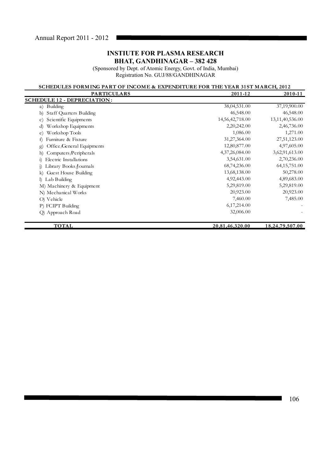(Sponsored by Dept. of Atomic Energy, Govt. of India, Mumbai) Registration No. GUJ/88/GANDHINAGAR

# **SCHEDULES FORMING PART OF INCOME & EXPENDITURE FOR THE YEAR 31ST MARCH, 2012**<br>PARTICULARS 2011-12

| <b>PARTICULARS</b>                          | 2011-12         | 2010-11         |
|---------------------------------------------|-----------------|-----------------|
| <b>SCHEDULE 12 - DEPRECIATION:</b>          |                 |                 |
| Building<br>a)                              | 38,04,531.00    | 37,19,900.00    |
| Staff Quarters Building<br>b)               | 46,548.00       | 46,548.00       |
| Scientific Equipments<br>$\mathbf{C}$       | 14,56,42,718.00 | 13,11,40,536.00 |
| Workshop Equipments<br>d)                   | 2,20,242.00     | 2,46,736.00     |
| Workshop Tools<br>e)                        | 1,086.00        | 1,271.00        |
| Furniture & Fixture<br>f)                   | 31,27,364.00    | 27,51,123.00    |
| Office/General Equipments<br>$\mathbf{g}$   | 12,80,877.00    | 4,97,605.00     |
| Computers Peripherals<br>h)                 | 4,37,26,084.00  | 3,62,91,613.00  |
| Electric Installations<br>$\overline{1}$    | 3,54,631.00     | 2,70,236.00     |
| Library Books ∕Journals<br>$\left( \right)$ | 68,74,236.00    | 64, 15, 751.00  |
| Guest House Building<br>k)                  | 13,68,138.00    | 50,278.00       |
| I) Lab Building                             | 4,92,443.00     | 4,89,683.00     |
| M) Machinery & Equipment                    | 5,29,819.00     | 5,29,819.00     |
| N) Mechanical Works                         | 20,923.00       | 20,923.00       |
| O) Vehicle                                  | 7,460.00        | 7,485.00        |
| P) FCIPT Building                           | 6,17,214.00     |                 |
| Q) Approach Road                            | 32,006.00       |                 |
| <b>TOTAL</b>                                | 20,81,46,320.00 | 18,24,79,507.00 |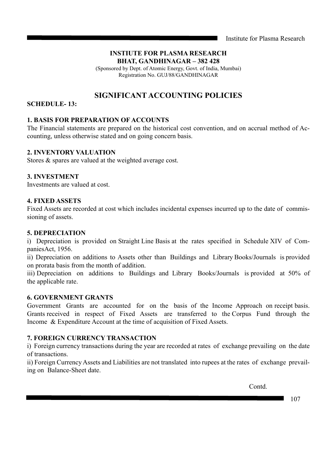Institute for Plasma Research

# **INSTIUTE FOR PLASMA RESEARCH BHAT, GANDHINAGAR – 382 428**

(Sponsored by Dept. of Atomic Energy, Govt. of India, Mumbai) Registration No. GUJ/88/GANDHINAGAR

# **SIGNIFICANT ACCOUNTING POLICIES**

# **SCHEDULE- 13:**

# **1. BASIS FOR PREPARATION OF ACCOUNTS**

The Financial statements are prepared on the historical cost convention, and on accrual method of Accounting, unless otherwise stated and on going concern basis.

# **2. INVENTORY VALUATION**

Stores & spares are valued at the weighted average cost.

# **3. INVESTMENT**

Investments are valued at cost.

# **4. FIXED ASSETS**

Fixed Assets are recorded at cost which includes incidental expenses incurred up to the date of commissioning of assets.

# **5. DEPRECIATION**

i) Depreciation is provided on Straight Line Basis at the rates specified in Schedule XIV of CompaniesAct, 1956.

ii) Depreciation on additions to Assets other than Buildings and Library Books/Journals is provided on prorata basis from the month of addition.

iii) Depreciation on additions to Buildings and Library Books/Journals is provided at 50% of the applicable rate.

# **6. GOVERNMENT GRANTS**

Government Grants are accounted for on the basis of the Income Approach on receipt basis. Grants received in respect of Fixed Assets are transferred to the Corpus Fund through the Income & Expenditure Account at the time of acquisition of Fixed Assets.

# **7. FOREIGN CURRENCY TRANSACTION**

i) Foreign currency transactions during the year are recorded at rates of exchange prevailing on the date of transactions.

ii) Foreign Currency Assets and Liabilities are not translated into rupees at the rates of exchange prevailing on Balance-Sheet date.

Contd.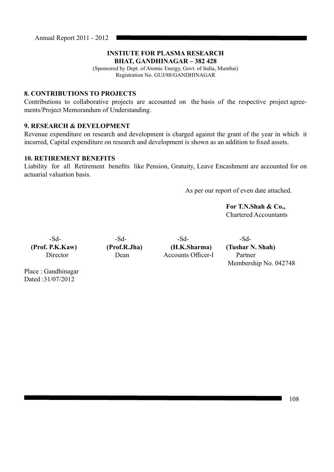# **INSTIUTE FOR PLASMA RESEARCH BHAT, GANDHINAGAR – 382 428**

(Sponsored by Dept. of Atomic Energy, Govt. of India, Mumbai) Registration No. GUJ/88/GANDHINAGAR

# **8. CONTRIBUTIONS TO PROJECTS**

Contributions to collaborative projects are accounted on the basis of the respective project agreements/Project Memorandum of Understanding.

# **9. RESEARCH & DEVELOPMENT**

Revenue expenditure on research and development is charged against the grant of the year in which it incurred, Capital expenditure on research and development is shown as an addition to fixed assets.

# **10. RETIREMENT BENEFITS**

Liability for all Retirement benefits like Pension, Gratuity, Leave Encashment are accounted for on actuarial valuation basis.

As per our report of even date attached.

 **For T.N.Shah & Co.,** Chartered Accountants

-Sd- -Sd- -Sd- -Sd- -Sd-Director Dean Accounts Officer-I Partner

 **(Prof. P.K.Kaw) (Prof.R.Jha) (H.K.Sharma) (Tushar N. Shah)** Membership No. 042748

Place : Gandhinagar Dated :31/07/2012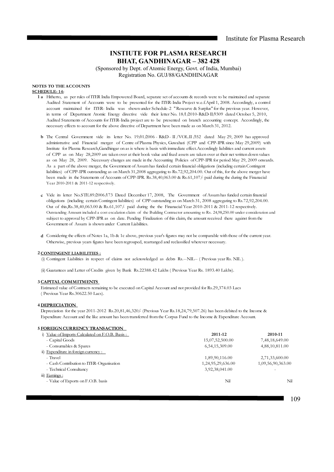(Sponsored by Dept. of Atomic Energy, Govt. of India, Mumbai) Registration No. GUJ/88/GANDHINAGAR

# **NOTES TO THE ACCOUNTS**

# **SCHEDULE-14:**

- **1 a** Hitherto, as per rules of ITER India Empowered Board, separate set of accounts & records were to be maintained and separate Audited Statement of Accounts were to be presented for the ITER-India Project w.e.f.April 1, 2008. Accordingly, a control account maintained for ITER- India was shown under Schedule-2 " Researve & Surplus" for the previous year. However, in terms of Department Atomic Energy directive vide their letter No.  $18/\sqrt{2010}$ -R&D-II $\sqrt{9309}$  dated October 5, 2010, Audited Statements of Accounts for ITER-India project are to be presented on branch accounting concept. Accordingly, the necessary effects to account for the above directive of Department have been made as on March 31, 2012.
	- **b** The Central Government vide its letter No.  $19/01/2006$  R&D II / VOL.II  $\beta$ 52 dated May 29, 2009 has approved administrative and Financial merger of Centre of Plasma Physics, Guwahati (CPP and CPP-IPR since May 29,2009) with Institute for Plasma Research,Gandhingar on as is where is basis with immediate effect.Accordingly liabilities and current assets of CPP as on May 28,2009 are taken over at their book value and fixed assets are taken over at their net written down values as on May 28, 2009. Necessary changes are made in the Accounting Policies of CPP-IPR for period May 29, 2009 onwards. As a part of the above merger, the Government of Assam has funded certain financial obligations (including certain Contingent liabilities) of CPP-IPR outstanding as on March 31,2008 aggregating to Rs.72,92,204.00. Out of this, for the above merger have been made in the Statements of Accounts of CPP-IPR. Rs.38,40,063.00 & Rs.61,107/- paid during the during the Finanacial Year 2010-2011 & 2011-12 respectively.
	- **c** Vide its letter No.STE.89/2006/173 Dated December 17, 2008, The Government of Assam has funded certain financial obligations (including certain Contingent liabilities) of CPP outstanding as on March 31, 2008 aggregating to Rs.72,92,204.00. Out of this,Rs.38,40,063.00 & Rs.61,107/- paid during the the Finanacial Year 2010-2011 & 2011-12 respectively. Outstanding Amount included a cost escalation claim of the Building Contractor amounting to Rs. 24,98,250.00 under consideration and subject to approval by CPP-IPR as on date. Pending Finalization of this claim, the amount received there against from the Government of Assam is shown under Current Liabilities.
	- **d** Considering the effects of Notes 1a, 1b & 1c above, previous year's figures may not be comparable with those of the current year. Otherwise, previous years figures have been regrouped, rearranged and reclassified wherever necessary.

### **2 CONTINGENT LIABILITIES :**

(i) Contingent Liabilities in respect of claims not acknowledged as debts Rs.--NIL-- ( Previous year Rs. NIL ).

(ii) Guarantees and Letter of Credits given by Bank Rs.22388.42 Lakhs ( Previous Year Rs. 1893.40 Lakhs).

## **3 CAPITAL COMMITMENTS**

Estimated value of Contracts remaining to be executed on Capital Account and not provided for Rs.29,374.03 Lacs ( Previous Year Rs.30622.50 Lacs).

### **4 DEPRECIATION**

Depreciation for the year 2011-2012 Rs.20,81,46,320/- (Previous Year Rs.18,24,79,507.26) has been debited to the Income & Expenditure Account and the like amount has been transferred from the Corpus Fund to the Income & Expenditure Account.

### **5 FOREIGN CURRENCY TRANSACTION**

| i) Value of Imports Calculated on F.O.B. Basis: | 2011-12           | 2010-11                  |
|-------------------------------------------------|-------------------|--------------------------|
| - Capital Goods                                 | 15,07,52,500.00   | 7,48,18,649.00           |
| - Consumables & Spares                          | 6,54,15,309.00    | 4,88,10,811.00           |
| ii) Expenditure in foreign currency :           |                   |                          |
| - Travel                                        | 1,89,90,116.00    | 2,71,33,600.00           |
| - Cash Contribution to ITER-Organisation        | 1,24,95,29,636.00 | 1,09,56,90,363.00        |
| - Technical Consultancy                         | 3,92,38,041.00    | $\overline{\phantom{a}}$ |
| iii) Earnings:                                  |                   |                          |
| - Value of Exports on F.O.B. basis              | Nil               | Nil                      |
|                                                 |                   |                          |